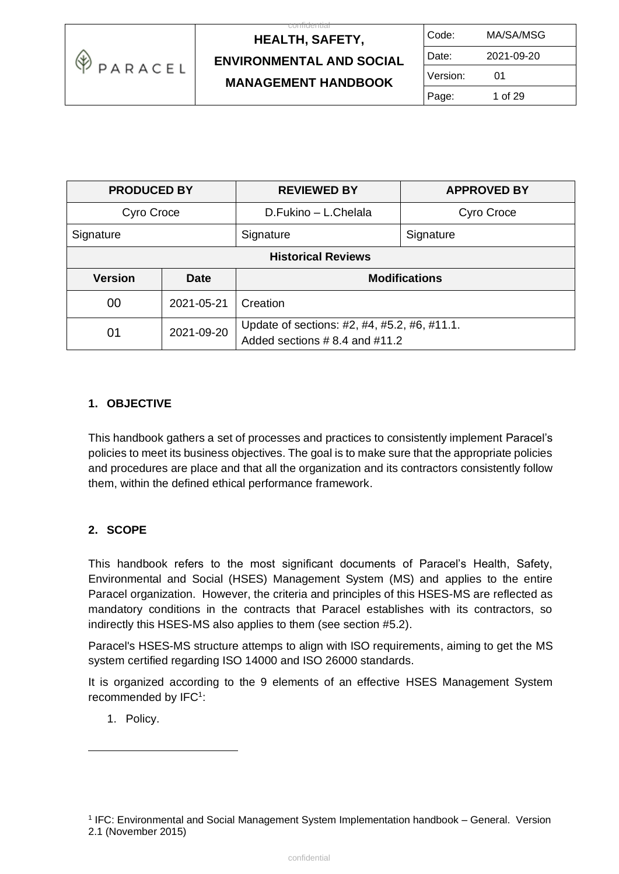

 $\overline{c}$ 

| Code:    | MA/SA/MSG  |
|----------|------------|
| Date:    | 2021-09-20 |
| Version: | 01         |
| Page:    | 1 of 29    |

| <b>PRODUCED BY</b>        |            | <b>REVIEWED BY</b><br><b>APPROVED BY</b>                                            |  |
|---------------------------|------------|-------------------------------------------------------------------------------------|--|
| Cyro Croce                |            | D.Fukino - L.Chelala<br>Cyro Croce                                                  |  |
| Signature                 |            | Signature<br>Signature                                                              |  |
| <b>Historical Reviews</b> |            |                                                                                     |  |
| <b>Version</b>            | Date       | <b>Modifications</b>                                                                |  |
| 00                        | 2021-05-21 | Creation                                                                            |  |
| 01                        | 2021-09-20 | Update of sections: #2, #4, #5.2, #6, #11.1.<br>Added sections $# 8.4$ and $# 11.2$ |  |

### **1. OBJECTIVE**

This handbook gathers a set of processes and practices to consistently implement Paracel's policies to meet its business objectives. The goal is to make sure that the appropriate policies and procedures are place and that all the organization and its contractors consistently follow them, within the defined ethical performance framework.

### **2. SCOPE**

This handbook refers to the most significant documents of Paracel's Health, Safety, Environmental and Social (HSES) Management System (MS) and applies to the entire Paracel organization. However, the criteria and principles of this HSES-MS are reflected as mandatory conditions in the contracts that Paracel establishes with its contractors, so indirectly this HSES-MS also applies to them (see section #5.2).

Paracel's HSES-MS structure attemps to align with ISO requirements, aiming to get the MS system certified regarding ISO 14000 and ISO 26000 standards.

It is organized according to the 9 elements of an effective HSES Management System recommended by IFC<sup>1</sup>:

1. Policy.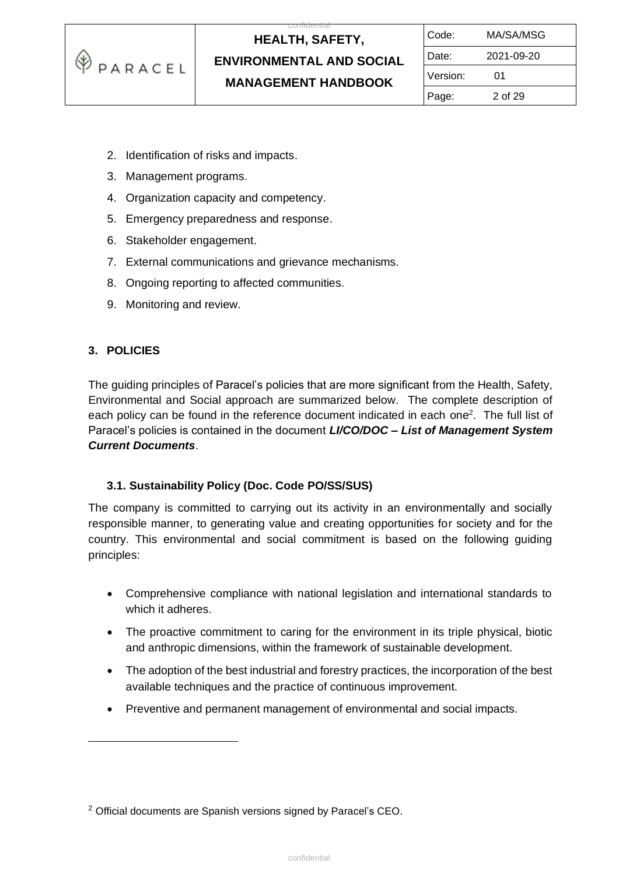

 $\overline{c}$ 

| Code:    | MA/SA/MSG  |  |
|----------|------------|--|
| Date:    | 2021-09-20 |  |
| Version: | 01         |  |
| Page:    | 2 of 29    |  |

- 2. Identification of risks and impacts.
- 3. Management programs.
- 4. Organization capacity and competency.
- 5. Emergency preparedness and response.
- 6. Stakeholder engagement.
- 7. External communications and grievance mechanisms.
- 8. Ongoing reporting to affected communities.
- 9. Monitoring and review.

#### **3. POLICIES**

The guiding principles of Paracel's policies that are more significant from the Health, Safety, Environmental and Social approach are summarized below. The complete description of each policy can be found in the reference document indicated in each one<sup>2</sup>. The full list of Paracel's policies is contained in the document *LI/CO/DOC – List of Management System Current Documents*.

#### **3.1. Sustainability Policy (Doc. Code PO/SS/SUS)**

The company is committed to carrying out its activity in an environmentally and socially responsible manner, to generating value and creating opportunities for society and for the country. This environmental and social commitment is based on the following guiding principles:

- Comprehensive compliance with national legislation and international standards to which it adheres.
- The proactive commitment to caring for the environment in its triple physical, biotic and anthropic dimensions, within the framework of sustainable development.
- The adoption of the best industrial and forestry practices, the incorporation of the best available techniques and the practice of continuous improvement.
- Preventive and permanent management of environmental and social impacts.

<sup>&</sup>lt;sup>2</sup> Official documents are Spanish versions signed by Paracel's CEO.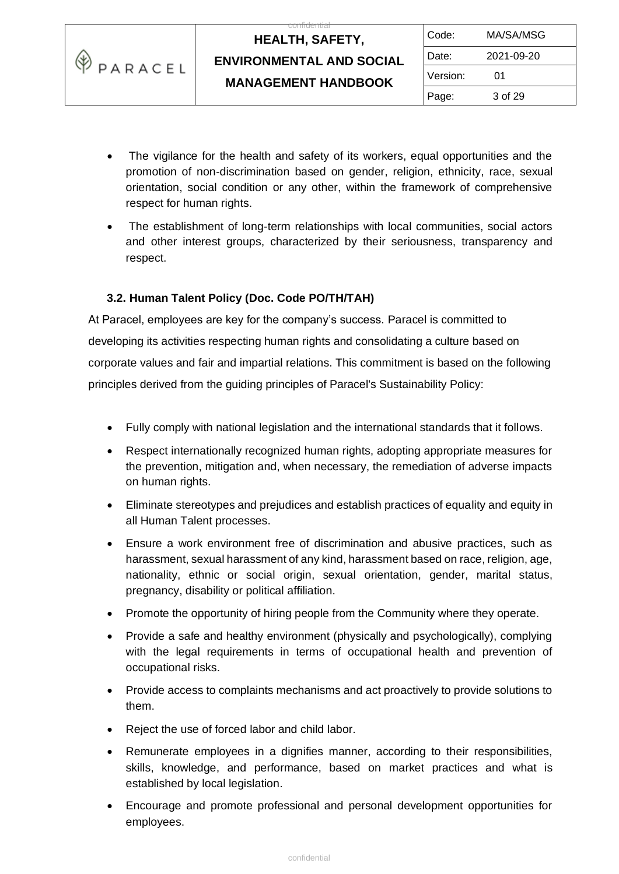|         | <b>HEALTH, SAFETY,</b>          | Code:    | MA/SA/MSG  |
|---------|---------------------------------|----------|------------|
|         | <b>ENVIRONMENTAL AND SOCIAL</b> | Date:    | 2021-09-20 |
| PARACEL | <b>MANAGEMENT HANDBOOK</b>      | Version: | 01         |
|         |                                 | Page:    | 3 of 29    |

- The vigilance for the health and safety of its workers, equal opportunities and the promotion of non-discrimination based on gender, religion, ethnicity, race, sexual orientation, social condition or any other, within the framework of comprehensive respect for human rights.
- The establishment of long-term relationships with local communities, social actors and other interest groups, characterized by their seriousness, transparency and respect.

### **3.2. Human Talent Policy (Doc. Code PO/TH/TAH)**

≪

At Paracel, employees are key for the company's success. Paracel is committed to developing its activities respecting human rights and consolidating a culture based on corporate values and fair and impartial relations. This commitment is based on the following principles derived from the guiding principles of Paracel's Sustainability Policy:

- Fully comply with national legislation and the international standards that it follows.
- Respect internationally recognized human rights, adopting appropriate measures for the prevention, mitigation and, when necessary, the remediation of adverse impacts on human rights.
- Eliminate stereotypes and prejudices and establish practices of equality and equity in all Human Talent processes.
- Ensure a work environment free of discrimination and abusive practices, such as harassment, sexual harassment of any kind, harassment based on race, religion, age, nationality, ethnic or social origin, sexual orientation, gender, marital status, pregnancy, disability or political affiliation.
- Promote the opportunity of hiring people from the Community where they operate.
- Provide a safe and healthy environment (physically and psychologically), complying with the legal requirements in terms of occupational health and prevention of occupational risks.
- Provide access to complaints mechanisms and act proactively to provide solutions to them.
- Reject the use of forced labor and child labor.
- Remunerate employees in a dignifies manner, according to their responsibilities, skills, knowledge, and performance, based on market practices and what is established by local legislation.
- Encourage and promote professional and personal development opportunities for employees.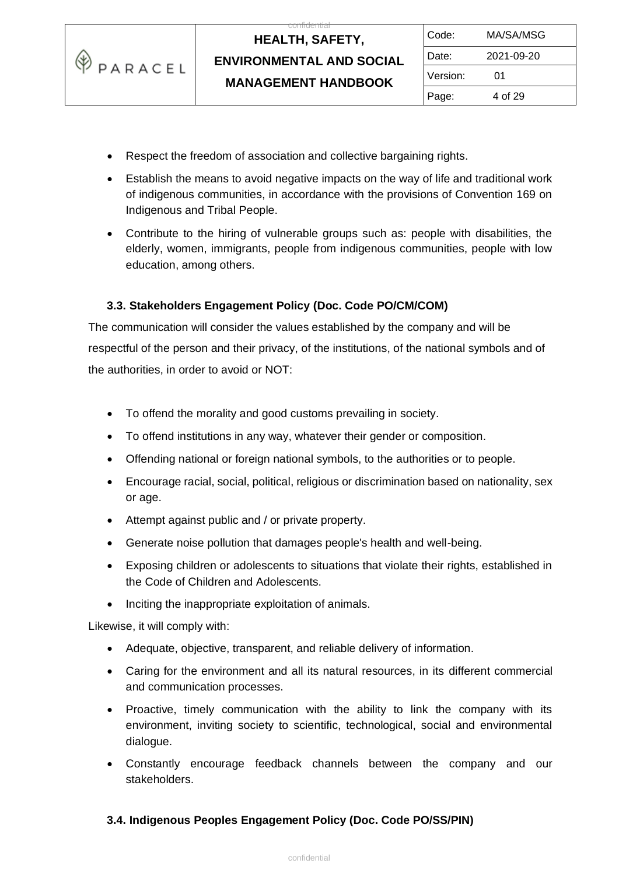

 $\overline{c}$ 

- Respect the freedom of association and collective bargaining rights.
- Establish the means to avoid negative impacts on the way of life and traditional work of indigenous communities, in accordance with the provisions of Convention 169 on Indigenous and Tribal People.
- Contribute to the hiring of vulnerable groups such as: people with disabilities, the elderly, women, immigrants, people from indigenous communities, people with low education, among others.

### **3.3. Stakeholders Engagement Policy (Doc. Code PO/CM/COM)**

The communication will consider the values established by the company and will be respectful of the person and their privacy, of the institutions, of the national symbols and of the authorities, in order to avoid or NOT:

- To offend the morality and good customs prevailing in society.
- To offend institutions in any way, whatever their gender or composition.
- Offending national or foreign national symbols, to the authorities or to people.
- Encourage racial, social, political, religious or discrimination based on nationality, sex or age.
- Attempt against public and / or private property.
- Generate noise pollution that damages people's health and well-being.
- Exposing children or adolescents to situations that violate their rights, established in the Code of Children and Adolescents.
- Inciting the inappropriate exploitation of animals.

Likewise, it will comply with:

- Adequate, objective, transparent, and reliable delivery of information.
- Caring for the environment and all its natural resources, in its different commercial and communication processes.
- Proactive, timely communication with the ability to link the company with its environment, inviting society to scientific, technological, social and environmental dialogue.
- Constantly encourage feedback channels between the company and our stakeholders.

#### **3.4. Indigenous Peoples Engagement Policy (Doc. Code PO/SS/PIN)**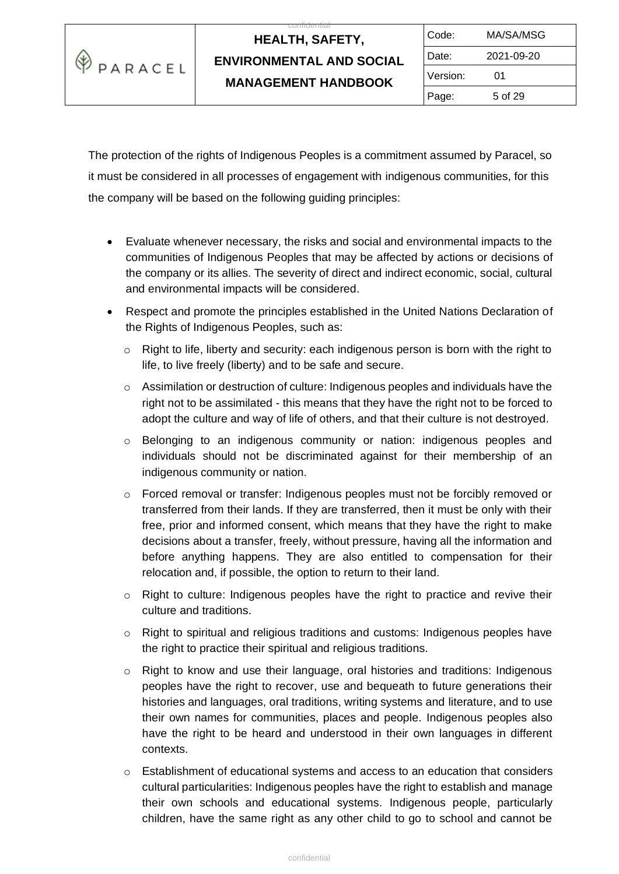

 $\overline{c}$ 

| Code:    | MA/SA/MSG  |  |
|----------|------------|--|
| Date:    | 2021-09-20 |  |
| Version: | 01         |  |
| Page:    | 5 of 29    |  |

The protection of the rights of Indigenous Peoples is a commitment assumed by Paracel, so it must be considered in all processes of engagement with indigenous communities, for this the company will be based on the following guiding principles:

- Evaluate whenever necessary, the risks and social and environmental impacts to the communities of Indigenous Peoples that may be affected by actions or decisions of the company or its allies. The severity of direct and indirect economic, social, cultural and environmental impacts will be considered.
- Respect and promote the principles established in the United Nations Declaration of the Rights of Indigenous Peoples, such as:
	- $\circ$  Right to life, liberty and security: each indigenous person is born with the right to life, to live freely (liberty) and to be safe and secure.
	- $\circ$  Assimilation or destruction of culture: Indigenous peoples and individuals have the right not to be assimilated - this means that they have the right not to be forced to adopt the culture and way of life of others, and that their culture is not destroyed.
	- o Belonging to an indigenous community or nation: indigenous peoples and individuals should not be discriminated against for their membership of an indigenous community or nation.
	- $\circ$  Forced removal or transfer: Indigenous peoples must not be forcibly removed or transferred from their lands. If they are transferred, then it must be only with their free, prior and informed consent, which means that they have the right to make decisions about a transfer, freely, without pressure, having all the information and before anything happens. They are also entitled to compensation for their relocation and, if possible, the option to return to their land.
	- $\circ$  Right to culture: Indigenous peoples have the right to practice and revive their culture and traditions.
	- o Right to spiritual and religious traditions and customs: Indigenous peoples have the right to practice their spiritual and religious traditions.
	- $\circ$  Right to know and use their language, oral histories and traditions: Indigenous peoples have the right to recover, use and bequeath to future generations their histories and languages, oral traditions, writing systems and literature, and to use their own names for communities, places and people. Indigenous peoples also have the right to be heard and understood in their own languages in different contexts.
	- $\circ$  Establishment of educational systems and access to an education that considers cultural particularities: Indigenous peoples have the right to establish and manage their own schools and educational systems. Indigenous people, particularly children, have the same right as any other child to go to school and cannot be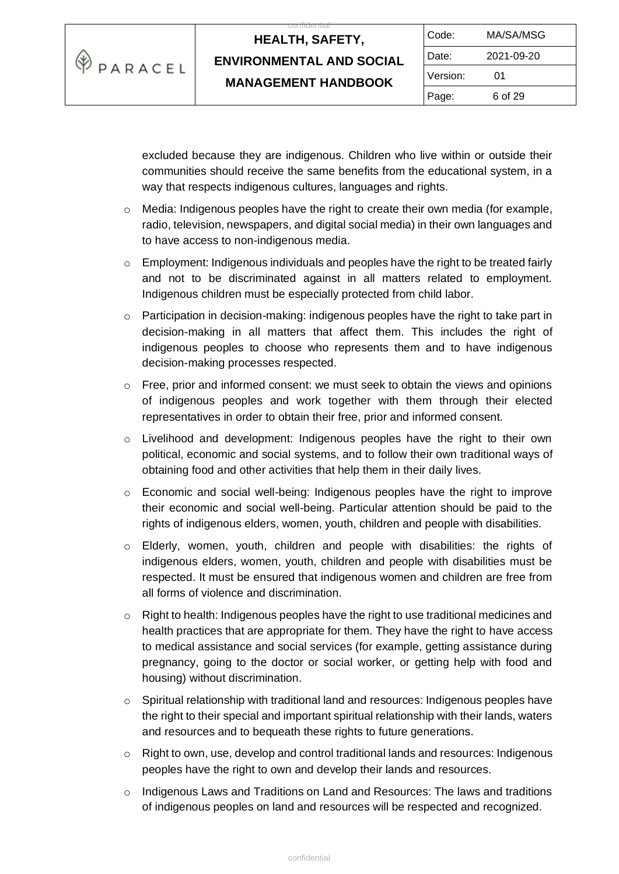

 $\overline{c}$ 

| Code:    | MA/SA/MSG  |  |
|----------|------------|--|
| Date:    | 2021-09-20 |  |
| Version: | 01         |  |
| Page:    | 6 of 29    |  |

excluded because they are indigenous. Children who live within or outside their communities should receive the same benefits from the educational system, in a way that respects indigenous cultures, languages and rights.

- $\circ$  Media: Indigenous peoples have the right to create their own media (for example, radio, television, newspapers, and digital social media) in their own languages and to have access to non-indigenous media.
- $\circ$  Employment: Indigenous individuals and peoples have the right to be treated fairly and not to be discriminated against in all matters related to employment. Indigenous children must be especially protected from child labor.
- $\circ$  Participation in decision-making: indigenous peoples have the right to take part in decision-making in all matters that affect them. This includes the right of indigenous peoples to choose who represents them and to have indigenous decision-making processes respected.
- o Free, prior and informed consent: we must seek to obtain the views and opinions of indigenous peoples and work together with them through their elected representatives in order to obtain their free, prior and informed consent.
- o Livelihood and development: Indigenous peoples have the right to their own political, economic and social systems, and to follow their own traditional ways of obtaining food and other activities that help them in their daily lives.
- $\circ$  Economic and social well-being: Indigenous peoples have the right to improve their economic and social well-being. Particular attention should be paid to the rights of indigenous elders, women, youth, children and people with disabilities.
- o Elderly, women, youth, children and people with disabilities: the rights of indigenous elders, women, youth, children and people with disabilities must be respected. It must be ensured that indigenous women and children are free from all forms of violence and discrimination.
- o Right to health: Indigenous peoples have the right to use traditional medicines and health practices that are appropriate for them. They have the right to have access to medical assistance and social services (for example, getting assistance during pregnancy, going to the doctor or social worker, or getting help with food and housing) without discrimination.
- $\circ$  Spiritual relationship with traditional land and resources: Indigenous peoples have the right to their special and important spiritual relationship with their lands, waters and resources and to bequeath these rights to future generations.
- $\circ$  Right to own, use, develop and control traditional lands and resources: Indigenous peoples have the right to own and develop their lands and resources.
- $\circ$  Indigenous Laws and Traditions on Land and Resources: The laws and traditions of indigenous peoples on land and resources will be respected and recognized.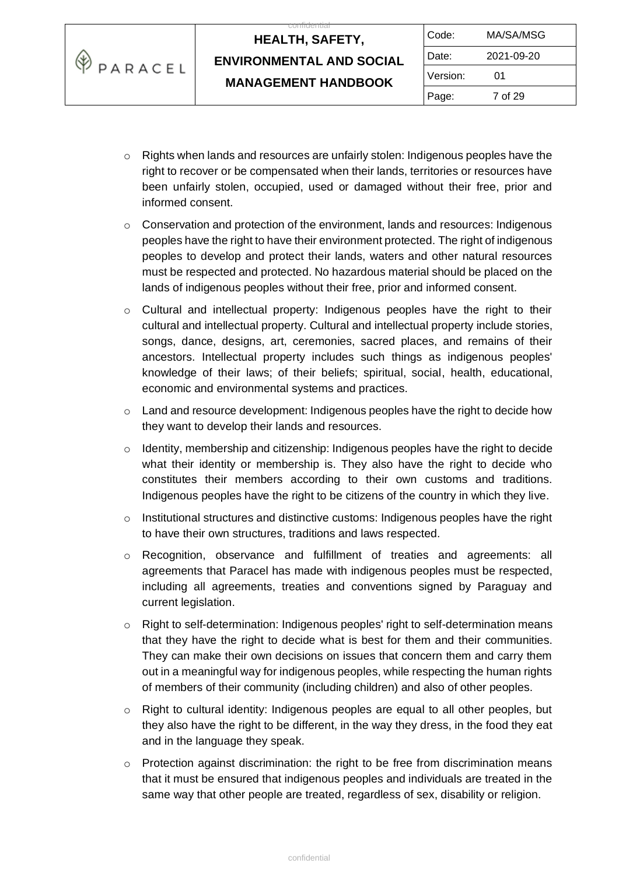| KΨ<br>'PARACEL | <b>HEALTH, SAFETY,</b>          | Code:    | MA/SA/MSG  |
|----------------|---------------------------------|----------|------------|
|                | <b>ENVIRONMENTAL AND SOCIAL</b> | Date:    | 2021-09-20 |
|                | <b>MANAGEMENT HANDBOOK</b>      | Version: | 01         |
|                |                                 | Page:    | 7 of 29    |

and the control

- $\circ$  Rights when lands and resources are unfairly stolen: Indigenous peoples have the right to recover or be compensated when their lands, territories or resources have been unfairly stolen, occupied, used or damaged without their free, prior and informed consent.
- $\circ$  Conservation and protection of the environment, lands and resources: Indigenous peoples have the right to have their environment protected. The right of indigenous peoples to develop and protect their lands, waters and other natural resources must be respected and protected. No hazardous material should be placed on the lands of indigenous peoples without their free, prior and informed consent.
- $\circ$  Cultural and intellectual property: Indigenous peoples have the right to their cultural and intellectual property. Cultural and intellectual property include stories, songs, dance, designs, art, ceremonies, sacred places, and remains of their ancestors. Intellectual property includes such things as indigenous peoples' knowledge of their laws; of their beliefs; spiritual, social, health, educational, economic and environmental systems and practices.
- $\circ$  Land and resource development: Indigenous peoples have the right to decide how they want to develop their lands and resources.
- o Identity, membership and citizenship: Indigenous peoples have the right to decide what their identity or membership is. They also have the right to decide who constitutes their members according to their own customs and traditions. Indigenous peoples have the right to be citizens of the country in which they live.
- $\circ$  Institutional structures and distinctive customs: Indigenous peoples have the right to have their own structures, traditions and laws respected.
- o Recognition, observance and fulfillment of treaties and agreements: all agreements that Paracel has made with indigenous peoples must be respected, including all agreements, treaties and conventions signed by Paraguay and current legislation.
- o Right to self-determination: Indigenous peoples' right to self-determination means that they have the right to decide what is best for them and their communities. They can make their own decisions on issues that concern them and carry them out in a meaningful way for indigenous peoples, while respecting the human rights of members of their community (including children) and also of other peoples.
- $\circ$  Right to cultural identity: Indigenous peoples are equal to all other peoples, but they also have the right to be different, in the way they dress, in the food they eat and in the language they speak.
- $\circ$  Protection against discrimination: the right to be free from discrimination means that it must be ensured that indigenous peoples and individuals are treated in the same way that other people are treated, regardless of sex, disability or religion.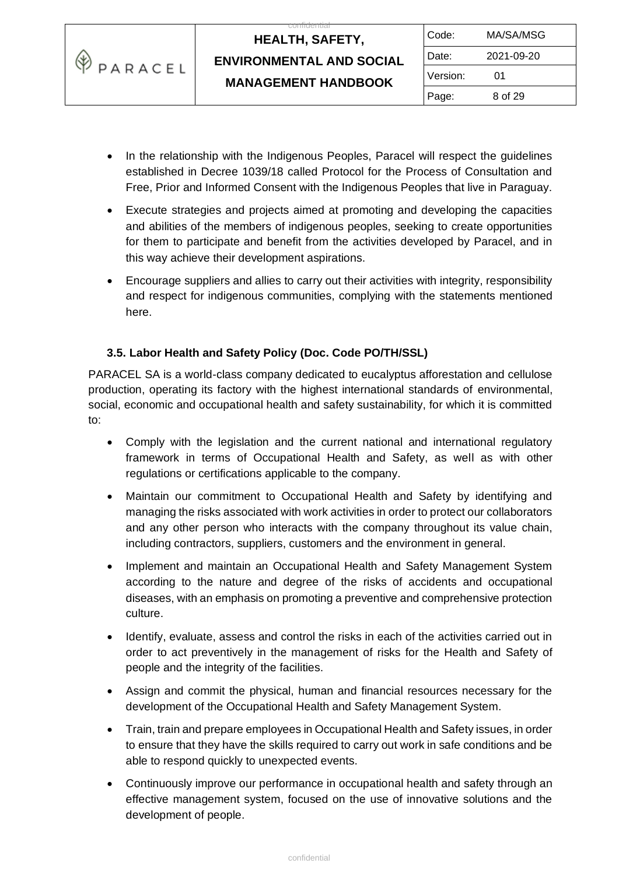

 $\overline{c}$ 

| Code:    | MA/SA/MSG  |  |
|----------|------------|--|
| Date:    | 2021-09-20 |  |
| Version: | 01         |  |
| Page:    | 8 of 29    |  |

- In the relationship with the Indigenous Peoples, Paracel will respect the guidelines established in Decree 1039/18 called Protocol for the Process of Consultation and Free, Prior and Informed Consent with the Indigenous Peoples that live in Paraguay.
- Execute strategies and projects aimed at promoting and developing the capacities and abilities of the members of indigenous peoples, seeking to create opportunities for them to participate and benefit from the activities developed by Paracel, and in this way achieve their development aspirations.
- Encourage suppliers and allies to carry out their activities with integrity, responsibility and respect for indigenous communities, complying with the statements mentioned here.

### **3.5. Labor Health and Safety Policy (Doc. Code PO/TH/SSL)**

PARACEL SA is a world-class company dedicated to eucalyptus afforestation and cellulose production, operating its factory with the highest international standards of environmental, social, economic and occupational health and safety sustainability, for which it is committed to:

- Comply with the legislation and the current national and international regulatory framework in terms of Occupational Health and Safety, as well as with other regulations or certifications applicable to the company.
- Maintain our commitment to Occupational Health and Safety by identifying and managing the risks associated with work activities in order to protect our collaborators and any other person who interacts with the company throughout its value chain, including contractors, suppliers, customers and the environment in general.
- Implement and maintain an Occupational Health and Safety Management System according to the nature and degree of the risks of accidents and occupational diseases, with an emphasis on promoting a preventive and comprehensive protection culture.
- Identify, evaluate, assess and control the risks in each of the activities carried out in order to act preventively in the management of risks for the Health and Safety of people and the integrity of the facilities.
- Assign and commit the physical, human and financial resources necessary for the development of the Occupational Health and Safety Management System.
- Train, train and prepare employees in Occupational Health and Safety issues, in order to ensure that they have the skills required to carry out work in safe conditions and be able to respond quickly to unexpected events.
- Continuously improve our performance in occupational health and safety through an effective management system, focused on the use of innovative solutions and the development of people.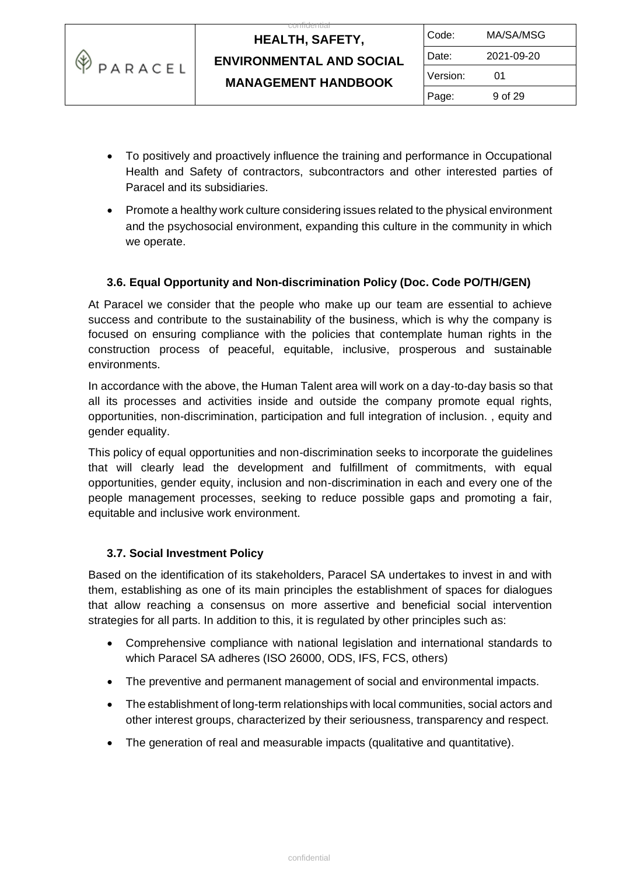

| Code:    | MA/SA/MSG  |
|----------|------------|
| Date:    | 2021-09-20 |
| Version: | 01         |
| Page:    | 9 of 29    |

- To positively and proactively influence the training and performance in Occupational Health and Safety of contractors, subcontractors and other interested parties of Paracel and its subsidiaries.
- Promote a healthy work culture considering issues related to the physical environment and the psychosocial environment, expanding this culture in the community in which we operate.

### **3.6. Equal Opportunity and Non-discrimination Policy (Doc. Code PO/TH/GEN)**

At Paracel we consider that the people who make up our team are essential to achieve success and contribute to the sustainability of the business, which is why the company is focused on ensuring compliance with the policies that contemplate human rights in the construction process of peaceful, equitable, inclusive, prosperous and sustainable environments.

In accordance with the above, the Human Talent area will work on a day-to-day basis so that all its processes and activities inside and outside the company promote equal rights, opportunities, non-discrimination, participation and full integration of inclusion. , equity and gender equality.

This policy of equal opportunities and non-discrimination seeks to incorporate the guidelines that will clearly lead the development and fulfillment of commitments, with equal opportunities, gender equity, inclusion and non-discrimination in each and every one of the people management processes, seeking to reduce possible gaps and promoting a fair, equitable and inclusive work environment.

### **3.7. Social Investment Policy**

Based on the identification of its stakeholders, Paracel SA undertakes to invest in and with them, establishing as one of its main principles the establishment of spaces for dialogues that allow reaching a consensus on more assertive and beneficial social intervention strategies for all parts. In addition to this, it is regulated by other principles such as:

- Comprehensive compliance with national legislation and international standards to which Paracel SA adheres (ISO 26000, ODS, IFS, FCS, others)
- The preventive and permanent management of social and environmental impacts.
- The establishment of long-term relationships with local communities, social actors and other interest groups, characterized by their seriousness, transparency and respect.
- The generation of real and measurable impacts (qualitative and quantitative).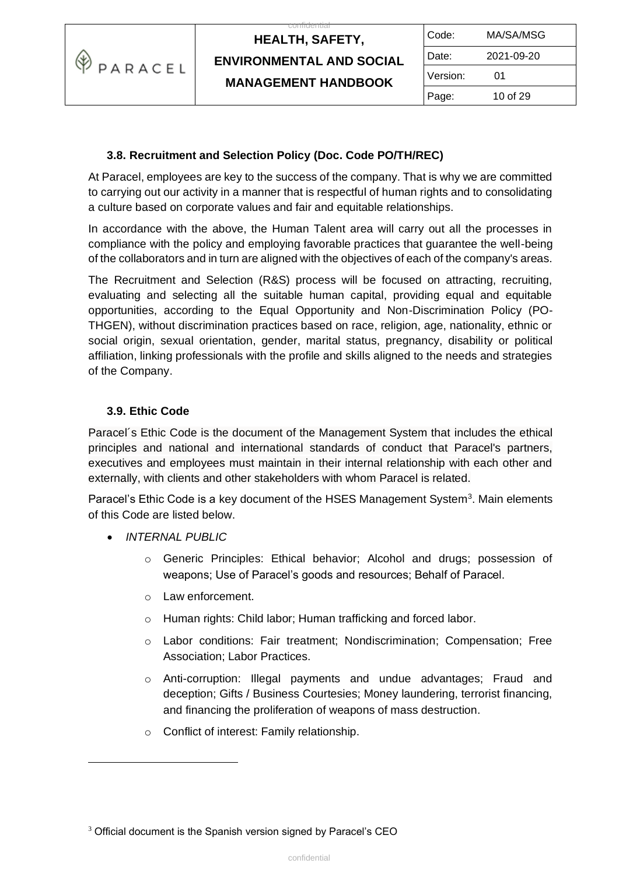

| Code:    | MA/SA/MSG  |  |
|----------|------------|--|
| Date:    | 2021-09-20 |  |
| Version: | 01         |  |
| Page:    | 10 of 29   |  |

### **3.8. Recruitment and Selection Policy (Doc. Code PO/TH/REC)**

At Paracel, employees are key to the success of the company. That is why we are committed to carrying out our activity in a manner that is respectful of human rights and to consolidating a culture based on corporate values and fair and equitable relationships.

In accordance with the above, the Human Talent area will carry out all the processes in compliance with the policy and employing favorable practices that guarantee the well-being of the collaborators and in turn are aligned with the objectives of each of the company's areas.

The Recruitment and Selection (R&S) process will be focused on attracting, recruiting, evaluating and selecting all the suitable human capital, providing equal and equitable opportunities, according to the Equal Opportunity and Non-Discrimination Policy (PO-THGEN), without discrimination practices based on race, religion, age, nationality, ethnic or social origin, sexual orientation, gender, marital status, pregnancy, disability or political affiliation, linking professionals with the profile and skills aligned to the needs and strategies of the Company.

### **3.9. Ethic Code**

Paracel´s Ethic Code is the document of the Management System that includes the ethical principles and national and international standards of conduct that Paracel's partners, executives and employees must maintain in their internal relationship with each other and externally, with clients and other stakeholders with whom Paracel is related.

Paracel's Ethic Code is a key document of the HSES Management System<sup>3</sup>. Main elements of this Code are listed below.

- *INTERNAL PUBLIC*
	- o Generic Principles: Ethical behavior; Alcohol and drugs; possession of weapons; Use of Paracel's goods and resources; Behalf of Paracel.
	- o Law enforcement.
	- o Human rights: Child labor; Human trafficking and forced labor.
	- o Labor conditions: Fair treatment; Nondiscrimination; Compensation; Free Association; Labor Practices.
	- o Anti-corruption: Illegal payments and undue advantages; Fraud and deception; Gifts / Business Courtesies; Money laundering, terrorist financing, and financing the proliferation of weapons of mass destruction.
	- o Conflict of interest: Family relationship.

<sup>&</sup>lt;sup>3</sup> Official document is the Spanish version signed by Paracel's CEO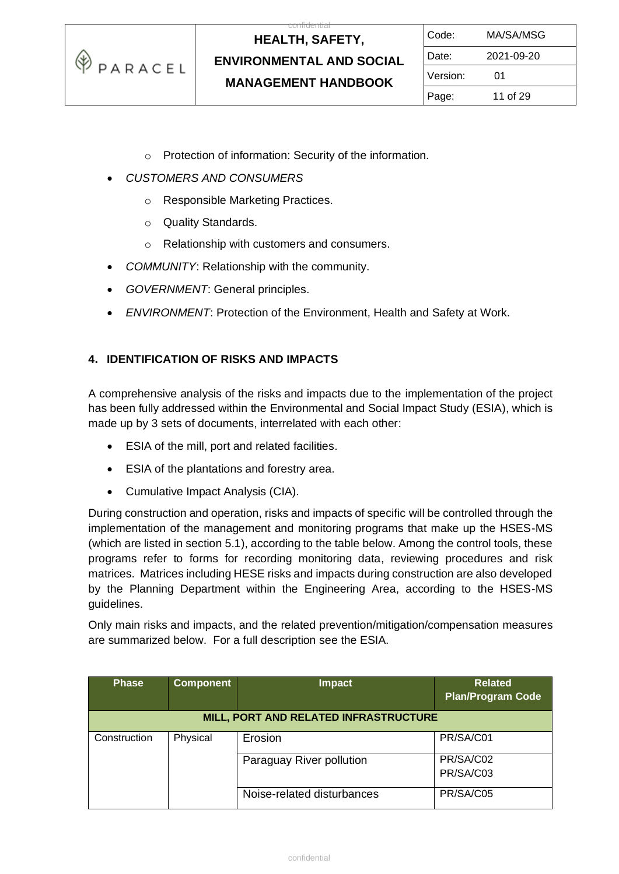

 $\overline{c}$ 

- o Protection of information: Security of the information.
- *CUSTOMERS AND CONSUMERS*
	- o Responsible Marketing Practices.
	- o Quality Standards.
	- o Relationship with customers and consumers.
- *COMMUNITY*: Relationship with the community.
- *GOVERNMENT*: General principles.
- *ENVIRONMENT*: Protection of the Environment, Health and Safety at Work.

### **4. IDENTIFICATION OF RISKS AND IMPACTS**

A comprehensive analysis of the risks and impacts due to the implementation of the project has been fully addressed within the Environmental and Social Impact Study (ESIA), which is made up by 3 sets of documents, interrelated with each other:

- ESIA of the mill, port and related facilities.
- ESIA of the plantations and forestry area.
- Cumulative Impact Analysis (CIA).

During construction and operation, risks and impacts of specific will be controlled through the implementation of the management and monitoring programs that make up the HSES-MS (which are listed in section 5.1), according to the table below. Among the control tools, these programs refer to forms for recording monitoring data, reviewing procedures and risk matrices. Matrices including HESE risks and impacts during construction are also developed by the Planning Department within the Engineering Area, according to the HSES-MS guidelines.

Only main risks and impacts, and the related prevention/mitigation/compensation measures are summarized below. For a full description see the ESIA.

| <b>Phase</b> | <b>Component</b> | <b>Impact</b>                         | <b>Related</b><br><b>Plan/Program Code</b> |
|--------------|------------------|---------------------------------------|--------------------------------------------|
|              |                  | MILL, PORT AND RELATED INFRASTRUCTURE |                                            |
| Construction | Physical         | Erosion                               | PR/SA/C01                                  |
|              |                  | Paraguay River pollution              | PR/SA/C02                                  |
|              |                  |                                       | PR/SA/C03                                  |
|              |                  | Noise-related disturbances            | PR/SA/C05                                  |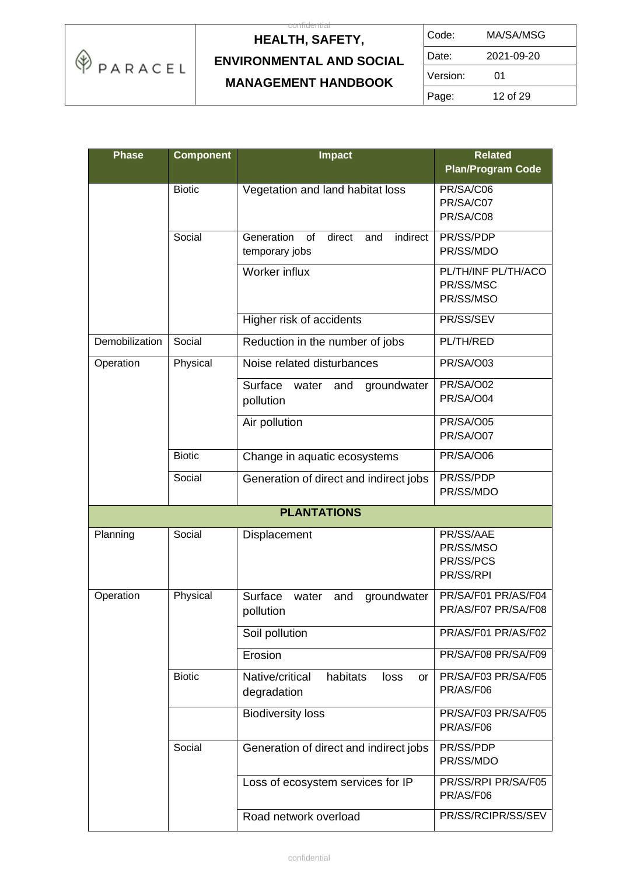

| Code:    | MA/SA/MSG  |
|----------|------------|
| Date:    | 2021-09-20 |
| Version: | 01         |
| Page:    | 12 of 29   |

| <b>Phase</b>   | <b>Component</b> | <b>Impact</b>                                    | <b>Related</b>           |  |
|----------------|------------------|--------------------------------------------------|--------------------------|--|
|                |                  |                                                  | <b>Plan/Program Code</b> |  |
|                | <b>Biotic</b>    | Vegetation and land habitat loss                 | PR/SA/C06                |  |
|                |                  |                                                  | PR/SA/C07<br>PR/SA/C08   |  |
|                |                  |                                                  |                          |  |
|                | Social           | Generation<br>direct<br>indirect<br>of<br>and    | PR/SS/PDP                |  |
|                |                  | temporary jobs                                   | PR/SS/MDO                |  |
|                |                  | Worker influx                                    | PL/TH/INF PL/TH/ACO      |  |
|                |                  |                                                  | PR/SS/MSC<br>PR/SS/MSO   |  |
|                |                  |                                                  |                          |  |
|                |                  | Higher risk of accidents                         | PR/SS/SEV                |  |
| Demobilization | Social           | Reduction in the number of jobs                  | PL/TH/RED                |  |
| Operation      | Physical         | Noise related disturbances                       | PR/SA/O03                |  |
|                |                  | Surface<br>groundwater<br>water<br>and           | <b>PR/SA/O02</b>         |  |
|                |                  | pollution                                        | PR/SA/O04                |  |
|                |                  | Air pollution                                    | <b>PR/SA/O05</b>         |  |
|                |                  |                                                  | PR/SA/O07                |  |
|                | <b>Biotic</b>    | Change in aquatic ecosystems                     | PR/SA/O06                |  |
|                | Social           | Generation of direct and indirect jobs           | PR/SS/PDP                |  |
|                |                  |                                                  | PR/SS/MDO                |  |
|                |                  | <b>PLANTATIONS</b>                               |                          |  |
| Planning       | Social           | Displacement                                     | PR/SS/AAE                |  |
|                |                  |                                                  | PR/SS/MSO                |  |
|                |                  |                                                  | PR/SS/PCS                |  |
|                |                  |                                                  | PR/SS/RPI                |  |
| Operation      | Physical         | Surface<br>water<br>and<br>groundwater           | PR/SA/F01 PR/AS/F04      |  |
|                |                  | pollution                                        | PR/AS/F07 PR/SA/F08      |  |
|                |                  | Soil pollution                                   | PR/AS/F01 PR/AS/F02      |  |
|                |                  | Erosion                                          | PR/SA/F08 PR/SA/F09      |  |
|                | <b>Biotic</b>    | Native/critical<br>habitats<br>loss<br><b>or</b> | PR/SA/F03 PR/SA/F05      |  |
|                |                  | degradation                                      | PR/AS/F06                |  |
|                |                  | <b>Biodiversity loss</b>                         | PR/SA/F03 PR/SA/F05      |  |
|                |                  |                                                  | PR/AS/F06                |  |
|                | Social           | Generation of direct and indirect jobs           | PR/SS/PDP                |  |
|                |                  |                                                  | PR/SS/MDO                |  |
|                |                  | Loss of ecosystem services for IP                | PR/SS/RPI PR/SA/F05      |  |
|                |                  |                                                  | PR/AS/F06                |  |
|                |                  | Road network overload                            | PR/SS/RCIPR/SS/SEV       |  |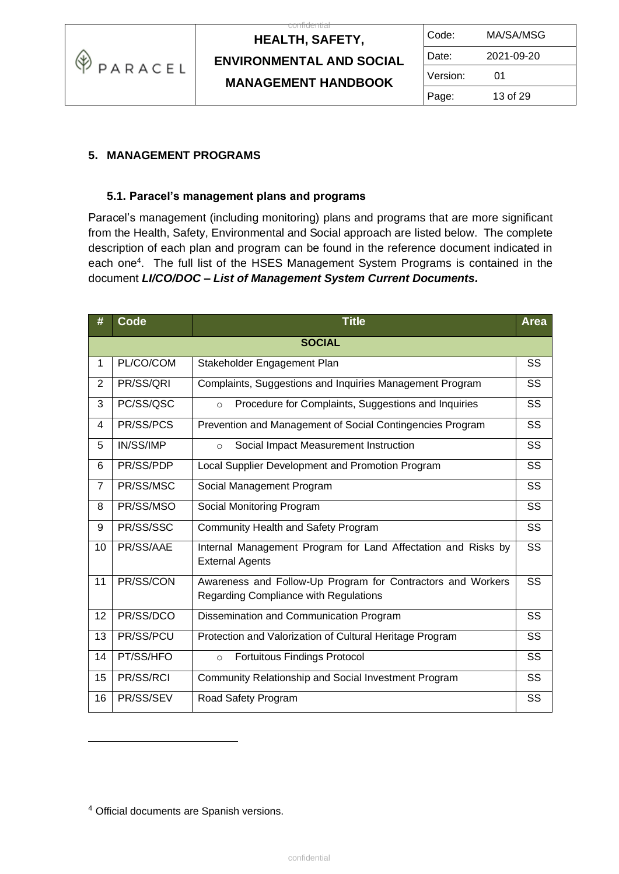

 $\overline{c}$ 

| Code:    | MA/SA/MSG  |  |
|----------|------------|--|
| Date:    | 2021-09-20 |  |
| Version: | 01         |  |
| Page:    | 13 of 29   |  |

### **5. MANAGEMENT PROGRAMS**

#### **5.1. Paracel's management plans and programs**

Paracel's management (including monitoring) plans and programs that are more significant from the Health, Safety, Environmental and Social approach are listed below. The complete description of each plan and program can be found in the reference document indicated in each one<sup>4</sup>. The full list of the HSES Management System Programs is contained in the document *LI/CO/DOC – List of Management System Current Documents.*

| #              | Code      | <b>Title</b>                                                                                         | <b>Area</b> |  |
|----------------|-----------|------------------------------------------------------------------------------------------------------|-------------|--|
| <b>SOCIAL</b>  |           |                                                                                                      |             |  |
| $\mathbf{1}$   | PL/CO/COM | Stakeholder Engagement Plan                                                                          | SS          |  |
| $\overline{2}$ | PR/SS/QRI | Complaints, Suggestions and Inquiries Management Program                                             | SS          |  |
| 3              | PC/SS/QSC | Procedure for Complaints, Suggestions and Inquiries<br>$\circ$                                       | SS          |  |
| 4              | PR/SS/PCS | Prevention and Management of Social Contingencies Program                                            | SS          |  |
| 5              | IN/SS/IMP | Social Impact Measurement Instruction<br>$\circ$                                                     | SS          |  |
| 6              | PR/SS/PDP | Local Supplier Development and Promotion Program                                                     | SS          |  |
| $\overline{7}$ | PR/SS/MSC | Social Management Program                                                                            | SS          |  |
| 8              | PR/SS/MSO | Social Monitoring Program                                                                            | <b>SS</b>   |  |
| 9              | PR/SS/SSC | Community Health and Safety Program                                                                  | <b>SS</b>   |  |
| 10             | PR/SS/AAE | Internal Management Program for Land Affectation and Risks by<br><b>External Agents</b>              | <b>SS</b>   |  |
| 11             | PR/SS/CON | Awareness and Follow-Up Program for Contractors and Workers<br>Regarding Compliance with Regulations | <b>SS</b>   |  |
| 12             | PR/SS/DCO | Dissemination and Communication Program                                                              | SS          |  |
| 13             | PR/SS/PCU | Protection and Valorization of Cultural Heritage Program                                             | SS          |  |
| 14             | PT/SS/HFO | <b>Fortuitous Findings Protocol</b><br>$\circ$                                                       | SS          |  |
| 15             | PR/SS/RCI | Community Relationship and Social Investment Program                                                 | SS          |  |
| 16             | PR/SS/SEV | Road Safety Program                                                                                  | SS          |  |

<sup>4</sup> Official documents are Spanish versions.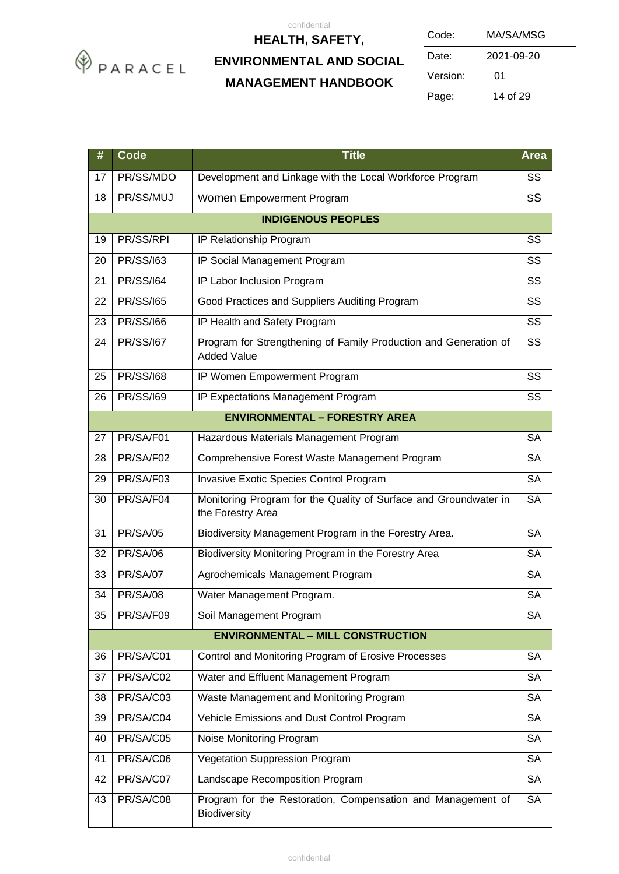

| Code:    | MA/SA/MSG  |
|----------|------------|
| Date:    | 2021-09-20 |
| Version: | 01         |
| Page:    | 14 of 29   |

| #  | <b>Code</b>      | <b>Title</b>                                                                           | <b>Area</b> |
|----|------------------|----------------------------------------------------------------------------------------|-------------|
| 17 | PR/SS/MDO        | Development and Linkage with the Local Workforce Program                               | SS          |
| 18 | PR/SS/MUJ        | Women Empowerment Program                                                              | SS          |
|    |                  | <b>INDIGENOUS PEOPLES</b>                                                              |             |
| 19 | PR/SS/RPI        | IP Relationship Program                                                                | SS          |
| 20 | <b>PR/SS/163</b> | IP Social Management Program                                                           | SS          |
| 21 | <b>PR/SS/164</b> | IP Labor Inclusion Program                                                             | SS          |
| 22 | <b>PR/SS/165</b> | Good Practices and Suppliers Auditing Program                                          | SS          |
| 23 | <b>PR/SS/166</b> | IP Health and Safety Program                                                           | SS          |
| 24 | <b>PR/SS/167</b> | Program for Strengthening of Family Production and Generation of<br><b>Added Value</b> | SS          |
| 25 | <b>PR/SS/168</b> | IP Women Empowerment Program                                                           | SS          |
| 26 | <b>PR/SS/169</b> | IP Expectations Management Program                                                     | SS          |
|    |                  | <b>ENVIRONMENTAL - FORESTRY AREA</b>                                                   |             |
| 27 | PR/SA/F01        | Hazardous Materials Management Program                                                 | <b>SA</b>   |
| 28 | PR/SA/F02        | Comprehensive Forest Waste Management Program                                          | <b>SA</b>   |
| 29 | PR/SA/F03        | Invasive Exotic Species Control Program                                                | <b>SA</b>   |
| 30 | PR/SA/F04        | Monitoring Program for the Quality of Surface and Groundwater in<br>the Forestry Area  | <b>SA</b>   |
| 31 | <b>PR/SA/05</b>  | Biodiversity Management Program in the Forestry Area.                                  | <b>SA</b>   |
| 32 | <b>PR/SA/06</b>  | Biodiversity Monitoring Program in the Forestry Area                                   | <b>SA</b>   |
| 33 | <b>PR/SA/07</b>  | Agrochemicals Management Program                                                       | <b>SA</b>   |
| 34 | <b>PR/SA/08</b>  | Water Management Program.                                                              | <b>SA</b>   |
| 35 | PR/SA/F09        | Soil Management Program                                                                | <b>SA</b>   |
|    |                  | <b>ENVIRONMENTAL - MILL CONSTRUCTION</b>                                               |             |
| 36 | PR/SA/C01        | Control and Monitoring Program of Erosive Processes                                    | <b>SA</b>   |
| 37 | PR/SA/C02        | Water and Effluent Management Program                                                  | <b>SA</b>   |
| 38 | PR/SA/C03        | Waste Management and Monitoring Program                                                | <b>SA</b>   |
| 39 | PR/SA/C04        | Vehicle Emissions and Dust Control Program                                             | <b>SA</b>   |
| 40 | PR/SA/C05        | Noise Monitoring Program                                                               | <b>SA</b>   |
| 41 | PR/SA/C06        | Vegetation Suppression Program                                                         | <b>SA</b>   |
| 42 | PR/SA/C07        | Landscape Recomposition Program                                                        | <b>SA</b>   |
| 43 | PR/SA/C08        | Program for the Restoration, Compensation and Management of<br>Biodiversity            | <b>SA</b>   |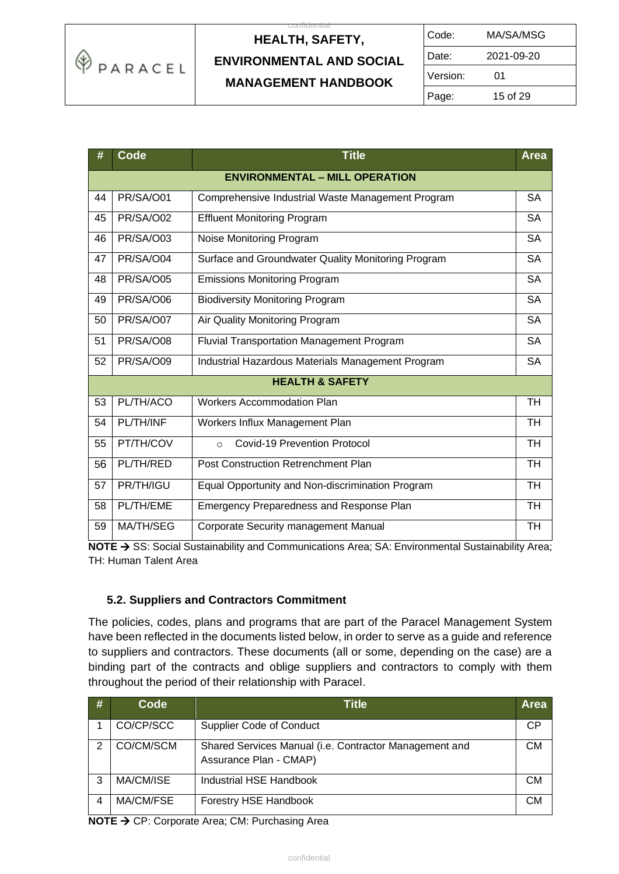

| Code:    | MA/SA/MSG  |
|----------|------------|
| Date:    | 2021-09-20 |
| Version: | 01         |
| Page:    | 15 of 29   |

| #  | <b>Code</b>                           | <b>Title</b>                                       | Area      |  |  |  |
|----|---------------------------------------|----------------------------------------------------|-----------|--|--|--|
|    | <b>ENVIRONMENTAL - MILL OPERATION</b> |                                                    |           |  |  |  |
| 44 | PR/SA/O01                             | Comprehensive Industrial Waste Management Program  | <b>SA</b> |  |  |  |
| 45 | PR/SA/O02                             | <b>Effluent Monitoring Program</b>                 | <b>SA</b> |  |  |  |
| 46 | PR/SA/O03                             | Noise Monitoring Program                           | <b>SA</b> |  |  |  |
| 47 | PR/SA/O04                             | Surface and Groundwater Quality Monitoring Program | <b>SA</b> |  |  |  |
| 48 | PR/SA/O05                             | <b>Emissions Monitoring Program</b>                | <b>SA</b> |  |  |  |
| 49 | PR/SA/O06                             | <b>Biodiversity Monitoring Program</b>             | <b>SA</b> |  |  |  |
| 50 | PR/SA/O07                             | Air Quality Monitoring Program                     | <b>SA</b> |  |  |  |
| 51 | PR/SA/O08                             | <b>Fluvial Transportation Management Program</b>   | <b>SA</b> |  |  |  |
| 52 | PR/SA/O09                             | Industrial Hazardous Materials Management Program  | <b>SA</b> |  |  |  |
|    |                                       | <b>HEALTH &amp; SAFETY</b>                         |           |  |  |  |
| 53 | PL/TH/ACO                             | <b>Workers Accommodation Plan</b>                  | <b>TH</b> |  |  |  |
| 54 | PL/TH/INF                             | Workers Influx Management Plan                     | <b>TH</b> |  |  |  |
| 55 | PT/TH/COV                             | Covid-19 Prevention Protocol<br>$\Omega$           | <b>TH</b> |  |  |  |
| 56 | PL/TH/RED                             | <b>Post Construction Retrenchment Plan</b>         | <b>TH</b> |  |  |  |
| 57 | PR/TH/IGU                             | Equal Opportunity and Non-discrimination Program   | <b>TH</b> |  |  |  |
| 58 | PL/TH/EME                             | Emergency Preparedness and Response Plan           | <b>TH</b> |  |  |  |
| 59 | MA/TH/SEG                             | <b>Corporate Security management Manual</b>        | <b>TH</b> |  |  |  |

NOTE → SS: Social Sustainability and Communications Area; SA: Environmental Sustainability Area; TH: Human Talent Area

### **5.2. Suppliers and Contractors Commitment**

The policies, codes, plans and programs that are part of the Paracel Management System have been reflected in the documents listed below, in order to serve as a guide and reference to suppliers and contractors. These documents (all or some, depending on the case) are a binding part of the contracts and oblige suppliers and contractors to comply with them throughout the period of their relationship with Paracel.

| # | Code      | Title                                                                            | <b>Area</b> |
|---|-----------|----------------------------------------------------------------------------------|-------------|
|   | CO/CP/SCC | <b>Supplier Code of Conduct</b>                                                  | <b>CP</b>   |
| 2 | CO/CM/SCM | Shared Services Manual (i.e. Contractor Management and<br>Assurance Plan - CMAP) | СM          |
| 3 | MA/CM/ISE | Industrial HSE Handbook                                                          | СM          |
| 4 | MA/CM/FSE | Forestry HSE Handbook                                                            | СM          |

**NOTE** → CP: Corporate Area; CM: Purchasing Area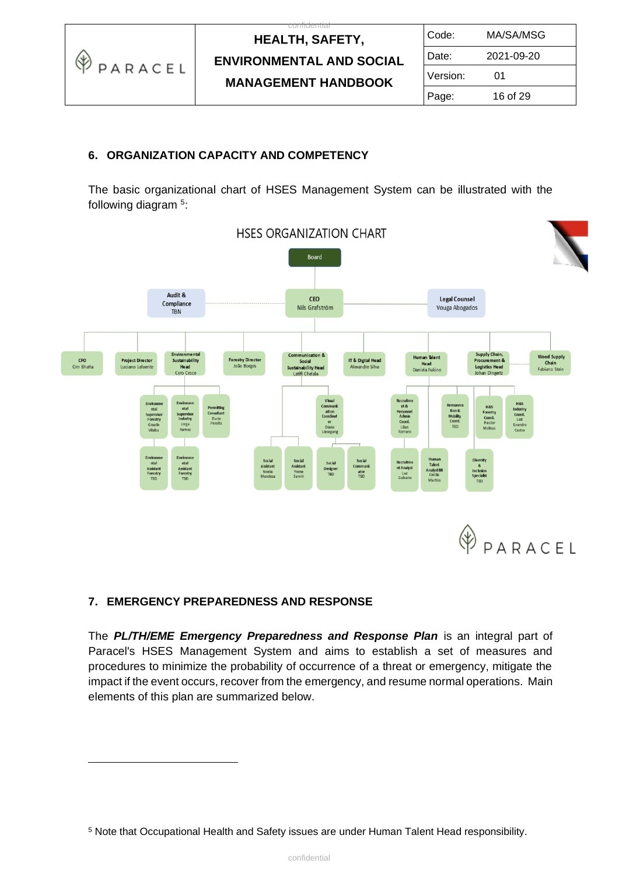

 $\overline{c}$ 

| Code:    | MA/SA/MSG  |  |
|----------|------------|--|
| Date:    | 2021-09-20 |  |
| Version: | 01         |  |
| Page:    | 16 of 29   |  |

### **6. ORGANIZATION CAPACITY AND COMPETENCY**

The basic organizational chart of HSES Management System can be illustrated with the following diagram<sup>5</sup>:



### **7. EMERGENCY PREPAREDNESS AND RESPONSE**

The *PL/TH/EME Emergency Preparedness and Response Plan* is an integral part of Paracel's HSES Management System and aims to establish a set of measures and procedures to minimize the probability of occurrence of a threat or emergency, mitigate the impact if the event occurs, recover from the emergency, and resume normal operations. Main elements of this plan are summarized below.

<sup>5</sup> Note that Occupational Health and Safety issues are under Human Talent Head responsibility.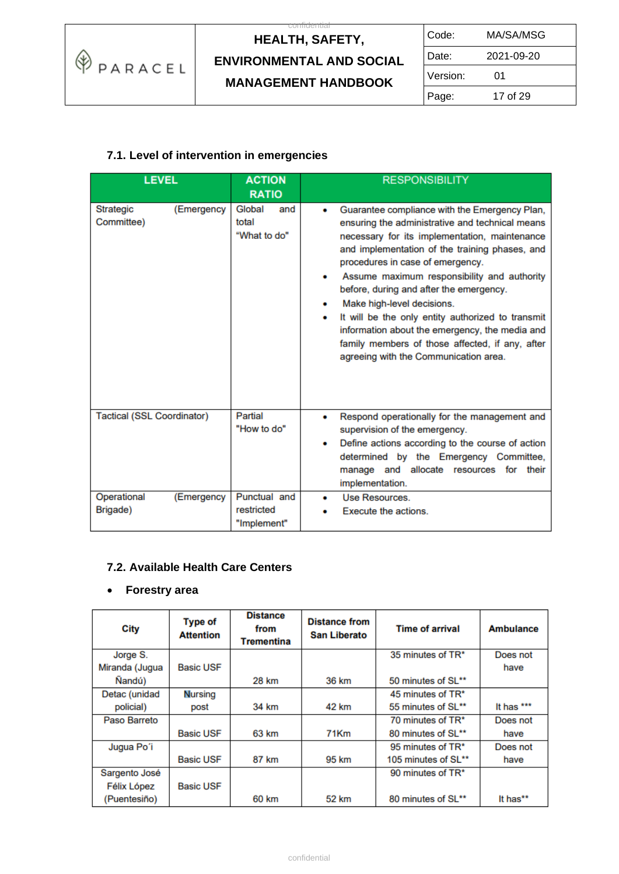

| Code:    | MA/SA/MSG  |
|----------|------------|
| Date:    | 2021-09-20 |
| Version: | 01         |
| Page:    | 17 of 29   |

### **7.1. Level of intervention in emergencies**

| <b>LEVEL</b>                          | <b>ACTION</b>                             | <b>RESPONSIBILITY</b>                                                                                                                                                                                                                                                                                                                                                                                                                                                                                                                                              |
|---------------------------------------|-------------------------------------------|--------------------------------------------------------------------------------------------------------------------------------------------------------------------------------------------------------------------------------------------------------------------------------------------------------------------------------------------------------------------------------------------------------------------------------------------------------------------------------------------------------------------------------------------------------------------|
|                                       | <b>RATIO</b>                              |                                                                                                                                                                                                                                                                                                                                                                                                                                                                                                                                                                    |
| (Emergency<br>Strategic<br>Committee) | Global<br>and<br>total<br>"What to do"    | Guarantee compliance with the Emergency Plan,<br>ensuring the administrative and technical means<br>necessary for its implementation, maintenance<br>and implementation of the training phases, and<br>procedures in case of emergency.<br>Assume maximum responsibility and authority<br>before, during and after the emergency.<br>Make high-level decisions.<br>It will be the only entity authorized to transmit<br>information about the emergency, the media and<br>family members of those affected, if any, after<br>agreeing with the Communication area. |
| <b>Tactical (SSL Coordinator)</b>     | Partial<br>"How to do"                    | Respond operationally for the management and<br>supervision of the emergency.<br>Define actions according to the course of action<br>determined by the Emergency Committee,<br>manage and allocate resources for<br>their<br>implementation.                                                                                                                                                                                                                                                                                                                       |
| Operational<br>(Emergency<br>Brigade) | Punctual and<br>restricted<br>"Implement" | Use Resources.<br>۰<br>Execute the actions.                                                                                                                                                                                                                                                                                                                                                                                                                                                                                                                        |

### **7.2. Available Health Care Centers**

#### • **Forestry area**

| City           | <b>Type of</b><br><b>Attention</b> | <b>Distance</b><br>from<br><b>Trementina</b> | <b>Distance from</b><br><b>San Liberato</b> | <b>Time of arrival</b> | Ambulance  |
|----------------|------------------------------------|----------------------------------------------|---------------------------------------------|------------------------|------------|
| Jorge S.       |                                    |                                              |                                             | 35 minutes of TR*      | Does not   |
| Miranda (Jugua | <b>Basic USF</b>                   |                                              |                                             |                        | have       |
| Nandú)         |                                    | 28 km                                        | 36 km                                       | 50 minutes of SL**     |            |
| Detac (unidad  | <b>Nursing</b>                     |                                              |                                             | 45 minutes of TR*      |            |
| policial)      | post                               | 34 km                                        | 42 km                                       | 55 minutes of SL**     | It has *** |
| Paso Barreto   |                                    |                                              |                                             | 70 minutes of TR*      | Does not   |
|                | <b>Basic USF</b>                   | 63 km                                        | 71Km                                        | 80 minutes of SL**     | have       |
| Jugua Po'i     |                                    |                                              |                                             | 95 minutes of TR*      | Does not   |
|                | <b>Basic USF</b>                   | 87 km                                        | 95 km                                       | 105 minutes of SL**    | have       |
| Sargento José  |                                    |                                              |                                             | 90 minutes of TR*      |            |
| Félix López    | <b>Basic USF</b>                   |                                              |                                             |                        |            |
| (Puentesiño)   |                                    | 60 km                                        | 52 km                                       | 80 minutes of SL**     | It has**   |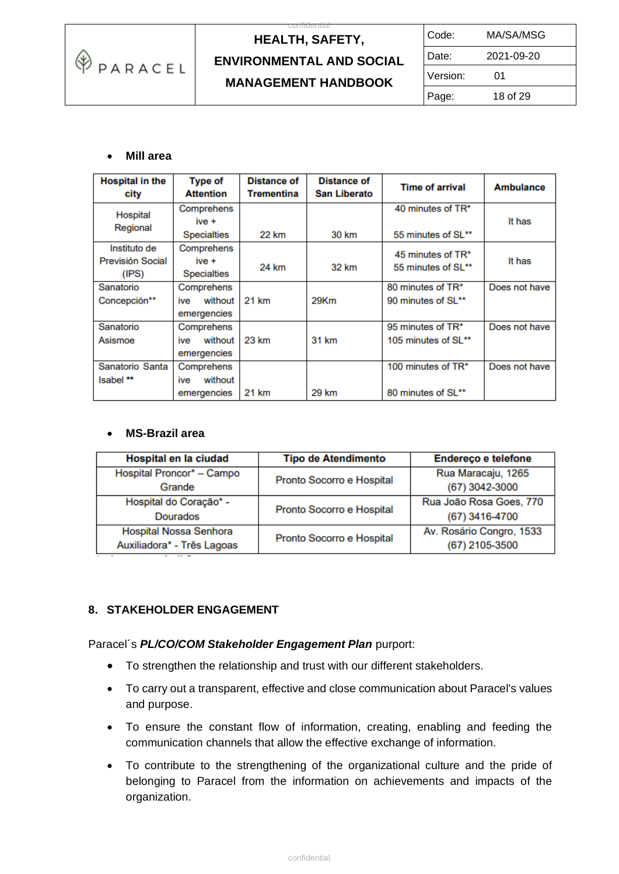

 $\overline{c}$ 

| Code:    | MA/SA/MSG  |
|----------|------------|
| Date:    | 2021-09-20 |
| Version: | 01         |
| Page:    | 18 of 29   |

### • **Mill area**

| <b>Hospital in the</b><br>city | <b>Type of</b><br><b>Attention</b> | <b>Distance of</b><br>Trementina | <b>Distance of</b><br><b>San Liberato</b> | <b>Time of arrival</b> | <b>Ambulance</b> |
|--------------------------------|------------------------------------|----------------------------------|-------------------------------------------|------------------------|------------------|
| Hospital                       | Comprehens                         |                                  |                                           | 40 minutes of TR*      |                  |
| Regional                       | $ive +$                            |                                  |                                           |                        | It has           |
|                                | <b>Specialties</b>                 | 22 km                            | 30 km                                     | 55 minutes of SL**     |                  |
| Instituto de                   | Comprehens                         |                                  |                                           | 45 minutes of TR*      |                  |
| <b>Previsión Social</b>        | $ive +$                            |                                  |                                           |                        | It has           |
| (IPS)                          | <b>Specialties</b>                 | 24 km                            | 32 km                                     | 55 minutes of SL**     |                  |
| Sanatorio                      | Comprehens                         |                                  |                                           | 80 minutes of TR*      | Does not have    |
| Concepción**                   | without<br>ive                     | 21 km                            | 29Km                                      | 90 minutes of SL**     |                  |
|                                | emergencies                        |                                  |                                           |                        |                  |
| Sanatorio                      | Comprehens                         |                                  |                                           | 95 minutes of TR*      | Does not have    |
| Asismoe                        | without<br>ive                     | 23 km                            | 31 km                                     | 105 minutes of SL**    |                  |
|                                | emergencies                        |                                  |                                           |                        |                  |
| Sanatorio Santa                | Comprehens                         |                                  |                                           | 100 minutes of TR*     | Does not have    |
| Isabel **                      | without<br>ive                     |                                  |                                           |                        |                  |
|                                | emergencies                        | 21 km                            | 29 km                                     | 80 minutes of SL**     |                  |

#### • **MS-Brazil area**

| Hospital en la ciudad                                | <b>Tipo de Atendimento</b> | Endereço e telefone                        |
|------------------------------------------------------|----------------------------|--------------------------------------------|
| Hospital Proncor* - Campo<br>Grande                  | Pronto Socorro e Hospital  | Rua Maracaju, 1265<br>(67) 3042-3000       |
| Hospital do Coração* -<br><b>Dourados</b>            | Pronto Socorro e Hospital  | Rua João Rosa Goes, 770<br>(67) 3416-4700  |
| Hospital Nossa Senhora<br>Auxiliadora* - Três Lagoas | Pronto Socorro e Hospital  | Av. Rosário Congro, 1533<br>(67) 2105-3500 |

### **8. STAKEHOLDER ENGAGEMENT**

#### Paracel´s *PL/CO/COM Stakeholder Engagement Plan* purport:

- To strengthen the relationship and trust with our different stakeholders.
- To carry out a transparent, effective and close communication about Paracel's values and purpose.
- To ensure the constant flow of information, creating, enabling and feeding the communication channels that allow the effective exchange of information.
- To contribute to the strengthening of the organizational culture and the pride of belonging to Paracel from the information on achievements and impacts of the organization.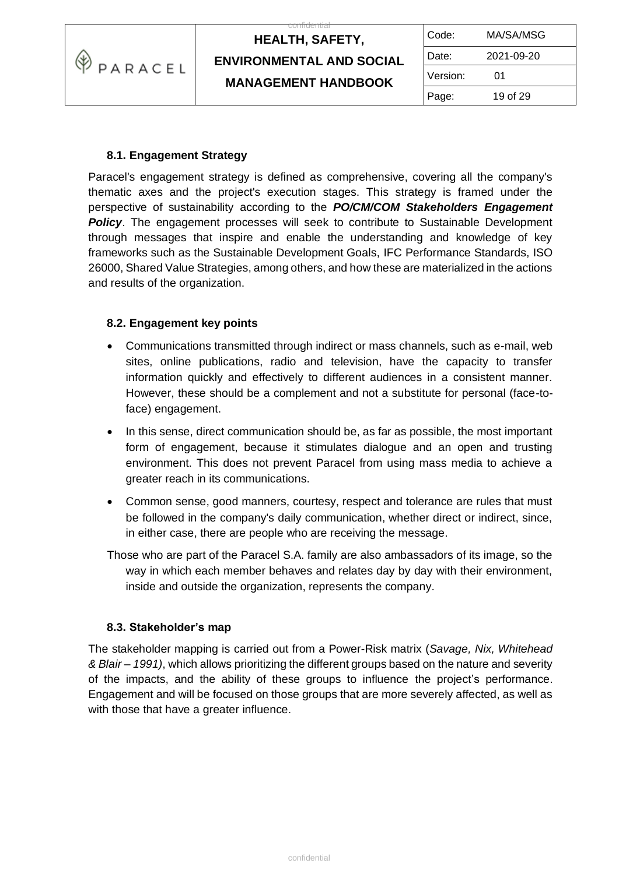

| Code:    | MA/SA/MSG  |
|----------|------------|
| Date:    | 2021-09-20 |
| Version: | 01         |
| Page:    | 19 of 29   |

### **8.1. Engagement Strategy**

Paracel's engagement strategy is defined as comprehensive, covering all the company's thematic axes and the project's execution stages. This strategy is framed under the perspective of sustainability according to the *PO/CM/COM Stakeholders Engagement Policy*. The engagement processes will seek to contribute to Sustainable Development through messages that inspire and enable the understanding and knowledge of key frameworks such as the Sustainable Development Goals, IFC Performance Standards, ISO 26000, Shared Value Strategies, among others, and how these are materialized in the actions and results of the organization.

### **8.2. Engagement key points**

- Communications transmitted through indirect or mass channels, such as e-mail, web sites, online publications, radio and television, have the capacity to transfer information quickly and effectively to different audiences in a consistent manner. However, these should be a complement and not a substitute for personal (face-toface) engagement.
- In this sense, direct communication should be, as far as possible, the most important form of engagement, because it stimulates dialogue and an open and trusting environment. This does not prevent Paracel from using mass media to achieve a greater reach in its communications.
- Common sense, good manners, courtesy, respect and tolerance are rules that must be followed in the company's daily communication, whether direct or indirect, since, in either case, there are people who are receiving the message.
- Those who are part of the Paracel S.A. family are also ambassadors of its image, so the way in which each member behaves and relates day by day with their environment, inside and outside the organization, represents the company.

#### **8.3. Stakeholder's map**

The stakeholder mapping is carried out from a Power-Risk matrix (*Savage, Nix, Whitehead & Blair – 1991)*, which allows prioritizing the different groups based on the nature and severity of the impacts, and the ability of these groups to influence the project's performance. Engagement and will be focused on those groups that are more severely affected, as well as with those that have a greater influence.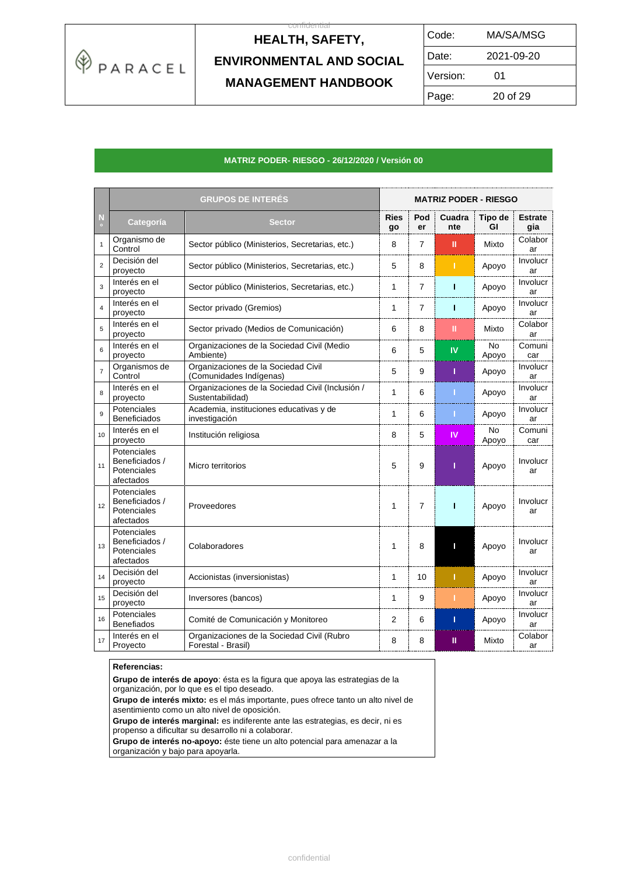

 $\overline{c}$ 

| Code:    | MA/SA/MSG  |  |
|----------|------------|--|
| Date:    | 2021-09-20 |  |
| Version: | 01         |  |
| Page:    | 20 of 29   |  |

#### **MATRIZ PODER- RIESGO - 26/12/2020 / Versión 00**

|                | <b>GRUPOS DE INTERÉS</b>                                  |                                                                      |                   | <b>MATRIZ PODER - RIESGO</b> |               |                    |                       |
|----------------|-----------------------------------------------------------|----------------------------------------------------------------------|-------------------|------------------------------|---------------|--------------------|-----------------------|
| N<br>$\circ$   | Categoría                                                 | <b>Sector</b>                                                        | <b>Ries</b><br>go | Pod<br>er                    | Cuadra<br>nte | Tipo de<br>GI      | <b>Estrate</b><br>gia |
| $\mathbf{1}$   | Organismo de<br>Control                                   | Sector público (Ministerios, Secretarias, etc.)                      | 8                 | $\overline{7}$               | Ш             | Mixto              | Colabor<br>ar         |
| $\overline{2}$ | Decisión del<br>proyecto                                  | Sector público (Ministerios, Secretarias, etc.)                      | 5                 | 8                            | т             | Apoyo              | Involucr<br>ar        |
| 3              | Interés en el<br>proyecto                                 | Sector público (Ministerios, Secretarias, etc.)                      | 1                 | $\overline{7}$               | T             | Apoyo              | Involucr<br>ar        |
| $\overline{4}$ | Interés en el<br>proyecto                                 | Sector privado (Gremios)                                             | 1                 | $\overline{7}$               | т             | Apoyo              | Involucr<br>ar        |
| 5              | Interés en el<br>proyecto                                 | Sector privado (Medios de Comunicación)                              | 6                 | 8                            | Ш             | Mixto              | Colabor<br>ar         |
| 6              | Interés en el<br>proyecto                                 | Organizaciones de la Sociedad Civil (Medio<br>Ambiente)              | 6                 | 5                            | IV            | <b>No</b><br>Apoyo | Comuni<br>car         |
| $\overline{7}$ | Organismos de<br>Control                                  | Organizaciones de la Sociedad Civil<br>(Comunidades Indígenas)       | 5                 | 9                            | т             | Apoyo              | Involucr<br>ar        |
| 8              | Interés en el<br>proyecto                                 | Organizaciones de la Sociedad Civil (Inclusión /<br>Sustentabilidad) | $\mathbf{1}$      | 6                            | п             | Apoyo              | Involucr<br>ar        |
| 9              | Potenciales<br><b>Beneficiados</b>                        | Academia, instituciones educativas y de<br>investigación             | 1                 | 6                            |               | Apoyo              | Involucr<br>ar        |
| 10             | Interés en el<br>proyecto                                 | Institución religiosa                                                | 8                 | 5                            | IV            | <b>No</b><br>Apoyo | Comuni<br>car         |
| 11             | Potenciales<br>Beneficiados /<br>Potenciales<br>afectados | Micro territorios                                                    | 5                 | 9                            | T             | Apoyo              | Involucr<br>ar        |
| 12             | Potenciales<br>Beneficiados /<br>Potenciales<br>afectados | Proveedores                                                          | 1                 | $\overline{7}$               | т             | Apoyo              | Involucr<br>ar        |
| 13             | Potenciales<br>Beneficiados /<br>Potenciales<br>afectados | Colaboradores                                                        | 1                 | 8                            | П             | Apoyo              | Involucr<br>ar        |
| 14             | Decisión del<br>proyecto                                  | Accionistas (inversionistas)                                         | $\mathbf{1}$      | 10                           | т             | Apoyo              | Involucr<br>ar        |
| 15             | Decisión del<br>proyecto                                  | Inversores (bancos)                                                  | 1                 | 9                            | п             | Apoyo              | Involucr<br>ar        |
| 16             | Potenciales<br><b>Benefiados</b>                          | Comité de Comunicación y Monitoreo                                   | 2                 | 6                            | Т             | Apoyo              | Involucr<br>ar        |
| 17             | Interés en el<br>Proyecto                                 | Organizaciones de la Sociedad Civil (Rubro<br>Forestal - Brasil)     | 8                 | 8                            | Ш             | Mixto              | Colabor<br>ar         |

#### **Referencias:**

**Grupo de interés de apoyo**: ésta es la figura que apoya las estrategias de la organización, por lo que es el tipo deseado.

**Grupo de interés mixto:** es el más importante, pues ofrece tanto un alto nivel de asentimiento como un alto nivel de oposición.

**Grupo de interés marginal:** es indiferente ante las estrategias, es decir, ni es propenso a dificultar su desarrollo ni a colaborar.

**Grupo de interés no-apoyo:** éste tiene un alto potencial para amenazar a la organización y bajo para apoyarla.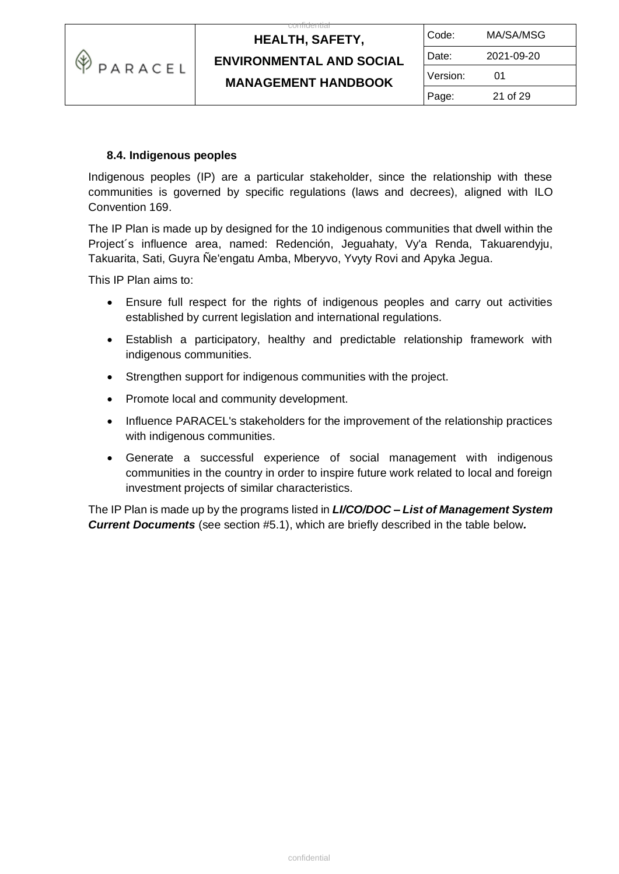

 $\overline{c}$ 

| Code:    | MA/SA/MSG  |
|----------|------------|
| Date:    | 2021-09-20 |
| Version: | 01         |
| Page:    | 21 of 29   |

### **8.4. Indigenous peoples**

Indigenous peoples (IP) are a particular stakeholder, since the relationship with these communities is governed by specific regulations (laws and decrees), aligned with ILO Convention 169.

The IP Plan is made up by designed for the 10 indigenous communities that dwell within the Project´s influence area, named: Redención, Jeguahaty, Vy'a Renda, Takuarendyju, Takuarita, Sati, Guyra Ñe'engatu Amba, Mberyvo, Yvyty Rovi and Apyka Jegua.

This IP Plan aims to:

- Ensure full respect for the rights of indigenous peoples and carry out activities established by current legislation and international regulations.
- Establish a participatory, healthy and predictable relationship framework with indigenous communities.
- Strengthen support for indigenous communities with the project.
- Promote local and community development.
- Influence PARACEL's stakeholders for the improvement of the relationship practices with indigenous communities.
- Generate a successful experience of social management with indigenous communities in the country in order to inspire future work related to local and foreign investment projects of similar characteristics.

The IP Plan is made up by the programs listed in *LI/CO/DOC – List of Management System Current Documents* (see section #5.1), which are briefly described in the table below*.*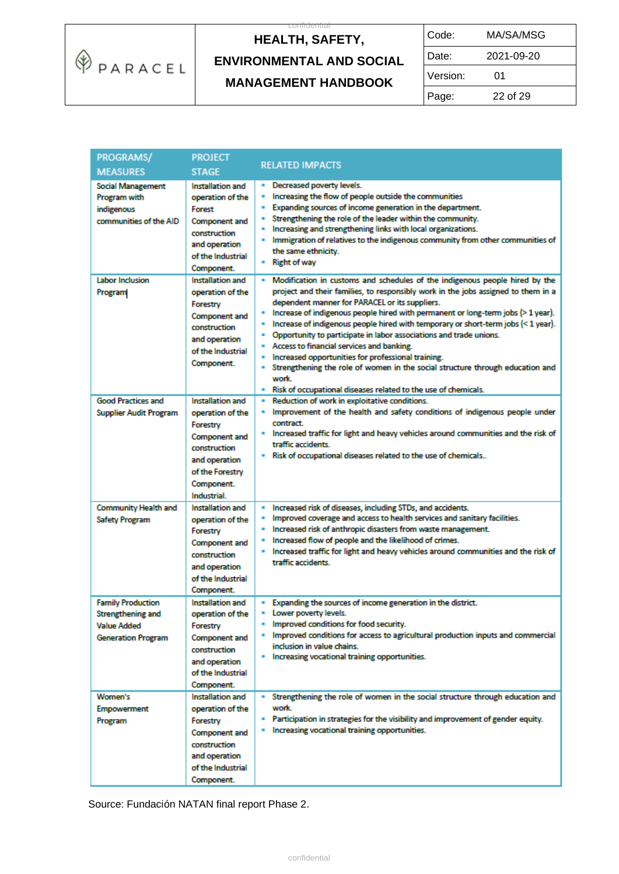

 $\overline{c}$ 

| Code:    | MA/SA/MSG  |  |
|----------|------------|--|
| Date:    | 2021-09-20 |  |
| Version: | 01         |  |
| Page:    | 22 of 29   |  |

| <b>PROGRAMS/</b><br><b>MEASURES</b>                                                                     | <b>PROJECT</b><br><b>STAGE</b>                                                                                                                            | <b>RELATED IMPACTS</b>                                                                                                                                                                                                                                                                                                                                                                                                                                                                                                                                                                                                                                                                                                                                         |
|---------------------------------------------------------------------------------------------------------|-----------------------------------------------------------------------------------------------------------------------------------------------------------|----------------------------------------------------------------------------------------------------------------------------------------------------------------------------------------------------------------------------------------------------------------------------------------------------------------------------------------------------------------------------------------------------------------------------------------------------------------------------------------------------------------------------------------------------------------------------------------------------------------------------------------------------------------------------------------------------------------------------------------------------------------|
| <b>Social Management</b><br>Program with<br>indigenous<br>communities of the AID                        | Installation and<br>operation of the<br>Forest<br><b>Component and</b><br>construction<br>and operation<br>of the Industrial<br>Component.                | Decreased poverty levels.<br>Increasing the flow of people outside the communities<br>٠<br>Expanding sources of income generation in the department.<br>ш<br>Strengthening the role of the leader within the community.<br>×<br>Increasing and strengthening links with local organizations.<br>п<br>Immigration of relatives to the indigenous community from other communities of<br>the same ethnicity.<br>- Right of way                                                                                                                                                                                                                                                                                                                                   |
| <b>Labor Inclusion</b><br>Program                                                                       | Installation and<br>operation of the<br>Forestry<br><b>Component and</b><br>construction<br>and operation<br>of the Industrial<br>Component.              | Modification in customs and schedules of the indigenous people hired by the<br>project and their families, to responsibly work in the jobs assigned to them in a<br>dependent manner for PARACEL or its suppliers.<br>Increase of indigenous people hired with permanent or long-term jobs (> 1 year).<br>Increase of indigenous people hired with temporary or short-term jobs (< 1 year).<br>ш<br>Opportunity to participate in labor associations and trade unions.<br>٠<br>Access to financial services and banking.<br>ш<br>Increased opportunities for professional training.<br>ш<br>Strengthening the role of women in the social structure through education and<br>×<br>work.<br>Risk of occupational diseases related to the use of chemicals.<br>٠ |
| <b>Good Practices and</b><br><b>Supplier Audit Program</b>                                              | Installation and<br>operation of the<br>Forestry<br><b>Component and</b><br>construction<br>and operation<br>of the Forestry<br>Component.<br>Industrial. | Reduction of work in exploitative conditions.<br>Improvement of the health and safety conditions of indigenous people under<br>contract.<br>" Increased traffic for light and heavy vehicles around communities and the risk of<br>traffic accidents.<br>Risk of occupational diseases related to the use of chemicals                                                                                                                                                                                                                                                                                                                                                                                                                                         |
| <b>Community Health and</b><br><b>Safety Program</b>                                                    | Installation and<br>operation of the<br>Forestry<br><b>Component and</b><br>construction<br>and operation<br>of the Industrial<br>Component.              | Increased risk of diseases, including STDs, and accidents.<br>٠<br>Improved coverage and access to health services and sanitary facilities.<br>ш<br>Increased risk of anthropic disasters from waste management.<br>Increased flow of people and the likelihood of crimes.<br>Increased traffic for light and heavy vehicles around communities and the risk of<br>traffic accidents.                                                                                                                                                                                                                                                                                                                                                                          |
| <b>Family Production</b><br><b>Strengthening and</b><br><b>Value Added</b><br><b>Generation Program</b> | Installation and<br>operation of the<br>Forestry<br><b>Component and</b><br>construction<br>and operation<br>of the Industrial<br>Component.              | Expanding the sources of income generation in the district.<br>Lower poverty levels.<br>Improved conditions for food security.<br>Improved conditions for access to agricultural production inputs and commercial<br>inclusion in value chains.<br>. Increasing vocational training opportunities.                                                                                                                                                                                                                                                                                                                                                                                                                                                             |
| Women's<br>Empowerment<br>Program                                                                       | Installation and<br>operation of the<br>Forestry<br><b>Component and</b><br>construction<br>and operation<br>of the Industrial<br>Component.              | Strengthening the role of women in the social structure through education and<br>work.<br>. Participation in strategies for the visibility and improvement of gender equity.<br>. Increasing vocational training opportunities.                                                                                                                                                                                                                                                                                                                                                                                                                                                                                                                                |

Source: Fundación NATAN final report Phase 2.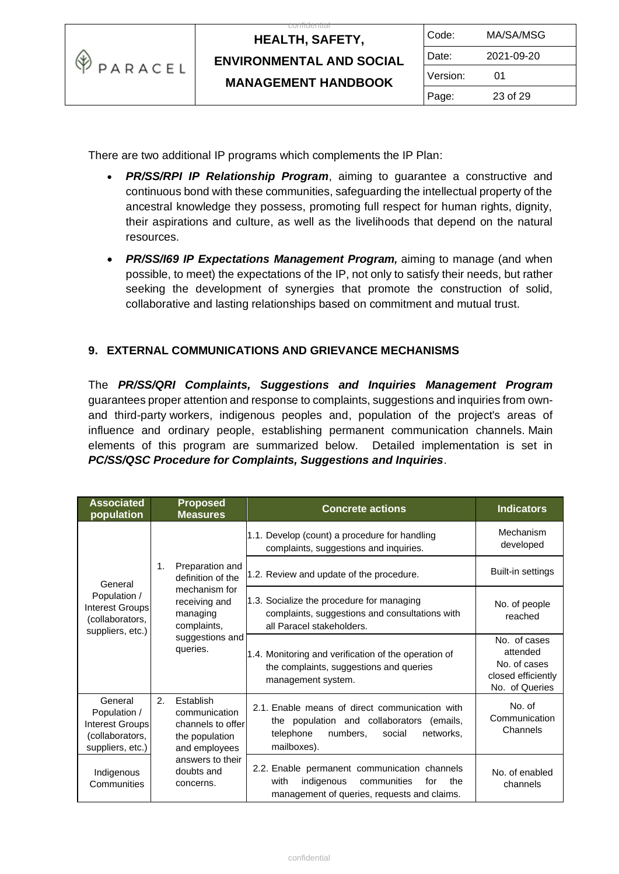| ⊛<br><b>PPARACEL</b> | <b>HEALTH, SAFETY,</b>          | Code:    | MA/SA/MSG  |
|----------------------|---------------------------------|----------|------------|
|                      | <b>ENVIRONMENTAL AND SOCIAL</b> | Date:    | 2021-09-20 |
|                      | <b>MANAGEMENT HANDBOOK</b>      | Version: | 01         |
|                      |                                 | Page:    | 23 of 29   |

There are two additional IP programs which complements the IP Plan:

- *PR/SS/RPI IP Relationship Program*, aiming to guarantee a constructive and continuous bond with these communities, safeguarding the intellectual property of the ancestral knowledge they possess, promoting full respect for human rights, dignity, their aspirations and culture, as well as the livelihoods that depend on the natural resources.
- *PR/SS/I69 IP Expectations Management Program,* aiming to manage (and when possible, to meet) the expectations of the IP, not only to satisfy their needs, but rather seeking the development of synergies that promote the construction of solid, collaborative and lasting relationships based on commitment and mutual trust.

### **9. EXTERNAL COMMUNICATIONS AND GRIEVANCE MECHANISMS**

The *PR/SS/QRI Complaints, Suggestions and Inquiries Management Program* guarantees proper attention and response to complaints, suggestions and inquiries from ownand third-party workers, indigenous peoples and, population of the project's areas of influence and ordinary people, establishing permanent communication channels. Main elements of this program are summarized below. Detailed implementation is set in *PC/SS/QSC Procedure for Complaints, Suggestions and Inquiries*.

| <b>Associated</b><br>population                                                   | <b>Proposed</b><br><b>Measures</b>                                                       | <b>Concrete actions</b>                                                                                                                                       | <b>Indicators</b>                                                                |
|-----------------------------------------------------------------------------------|------------------------------------------------------------------------------------------|---------------------------------------------------------------------------------------------------------------------------------------------------------------|----------------------------------------------------------------------------------|
| General                                                                           |                                                                                          | 1.1. Develop (count) a procedure for handling<br>complaints, suggestions and inquiries.                                                                       | Mechanism<br>developed                                                           |
|                                                                                   | Preparation and<br>1.<br>definition of the                                               | 1.2. Review and update of the procedure.                                                                                                                      | Built-in settings                                                                |
| Population /<br>Interest Groups<br>(collaborators,<br>suppliers, etc.)            | mechanism for<br>receiving and<br>managing<br>complaints,                                | 1.3. Socialize the procedure for managing<br>complaints, suggestions and consultations with<br>all Paracel stakeholders.                                      | No. of people<br>reached                                                         |
|                                                                                   | suggestions and<br>queries.                                                              | 1.4. Monitoring and verification of the operation of<br>the complaints, suggestions and queries<br>management system.                                         | No. of cases<br>attended<br>No. of cases<br>closed efficiently<br>No. of Queries |
| General<br>Population /<br>Interest Groups<br>(collaborators,<br>suppliers, etc.) | 2.<br>Establish<br>communication<br>channels to offer<br>the population<br>and employees | 2.1. Enable means of direct communication with<br>the population and collaborators<br>(emails,<br>numbers,<br>telephone<br>social<br>networks,<br>mailboxes). | No. of<br>Communication<br>Channels                                              |
| Indigenous<br>Communities                                                         | answers to their<br>doubts and<br>concerns.                                              | 2.2. Enable permanent communication channels<br>with<br>indigenous<br>communities<br>the<br>for<br>management of queries, requests and claims.                | No. of enabled<br>channels                                                       |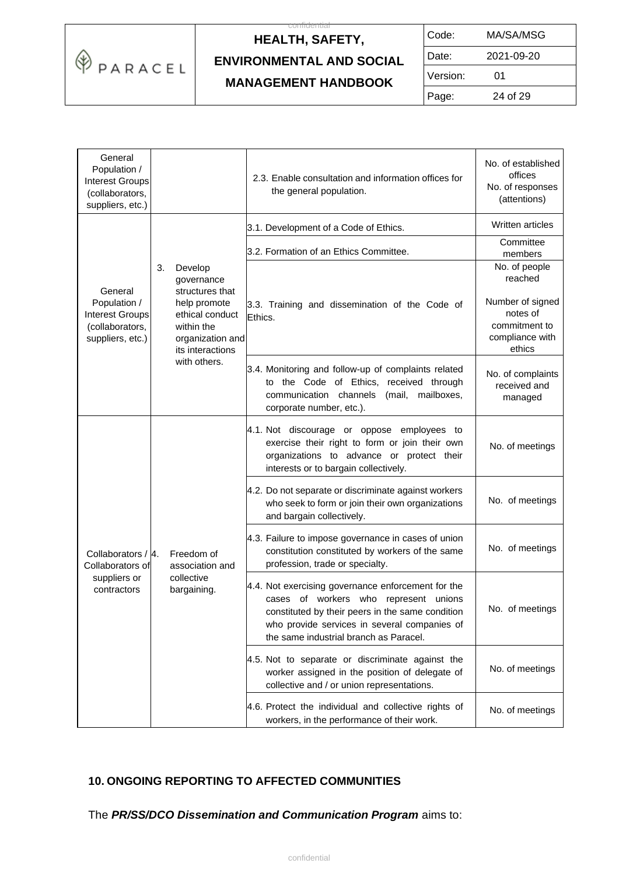

# **HEALTH, SAFETY, ENVIRONMENTAL AND SOCIAL**

 $\overline{c}$ 

| Code:    | MA/SA/MSG  |  |
|----------|------------|--|
| Date:    | 2021-09-20 |  |
| Version: | 01         |  |
| Page:    | 24 of 29   |  |

#### **MANAGEMENT HANDBOOK**

| General<br>Population /<br><b>Interest Groups</b><br>(collaborators,<br>suppliers, etc.) |                                                                                                                                                         | 2.3. Enable consultation and information offices for<br>the general population.                                                                                                                                                                 | No. of established<br>offices<br>No. of responses<br>(attentions)                                      |
|------------------------------------------------------------------------------------------|---------------------------------------------------------------------------------------------------------------------------------------------------------|-------------------------------------------------------------------------------------------------------------------------------------------------------------------------------------------------------------------------------------------------|--------------------------------------------------------------------------------------------------------|
|                                                                                          | 3.<br>Develop<br>governance<br>structures that<br>help promote<br>ethical conduct<br>within the<br>organization and<br>its interactions<br>with others. | 3.1. Development of a Code of Ethics.                                                                                                                                                                                                           | Written articles                                                                                       |
|                                                                                          |                                                                                                                                                         | 3.2. Formation of an Ethics Committee.                                                                                                                                                                                                          | Committee<br>members                                                                                   |
| General<br>Population /<br><b>Interest Groups</b><br>(collaborators,<br>suppliers, etc.) |                                                                                                                                                         | 3.3. Training and dissemination of the Code of<br>Ethics.                                                                                                                                                                                       | No. of people<br>reached<br>Number of signed<br>notes of<br>commitment to<br>compliance with<br>ethics |
|                                                                                          |                                                                                                                                                         | 3.4. Monitoring and follow-up of complaints related<br>to the Code of Ethics, received through<br>(mail,<br>mailboxes,<br>communication channels<br>corporate number, etc.).                                                                    | No. of complaints<br>received and<br>managed                                                           |
| Collaborators / 4.<br>Collaborators of<br>suppliers or<br>contractors                    | Freedom of<br>association and<br>collective<br>bargaining.                                                                                              | 4.1. Not discourage or oppose employees to<br>exercise their right to form or join their own<br>organizations to advance or protect their<br>interests or to bargain collectively.                                                              | No. of meetings                                                                                        |
|                                                                                          |                                                                                                                                                         | 4.2. Do not separate or discriminate against workers<br>who seek to form or join their own organizations<br>and bargain collectively.                                                                                                           | No. of meetings                                                                                        |
|                                                                                          |                                                                                                                                                         | 4.3. Failure to impose governance in cases of union<br>constitution constituted by workers of the same<br>profession, trade or specialty.                                                                                                       | No. of meetings                                                                                        |
|                                                                                          |                                                                                                                                                         | 4.4. Not exercising governance enforcement for the<br>of workers who<br>represent unions<br>cases<br>constituted by their peers in the same condition<br>who provide services in several companies of<br>the same industrial branch as Paracel. | No. of meetings                                                                                        |
|                                                                                          |                                                                                                                                                         | 4.5. Not to separate or discriminate against the<br>worker assigned in the position of delegate of<br>collective and / or union representations.                                                                                                | No. of meetings                                                                                        |
|                                                                                          |                                                                                                                                                         | 4.6. Protect the individual and collective rights of<br>workers, in the performance of their work.                                                                                                                                              | No. of meetings                                                                                        |

### **10. ONGOING REPORTING TO AFFECTED COMMUNITIES**

The *PR/SS/DCO Dissemination and Communication Program* aims to: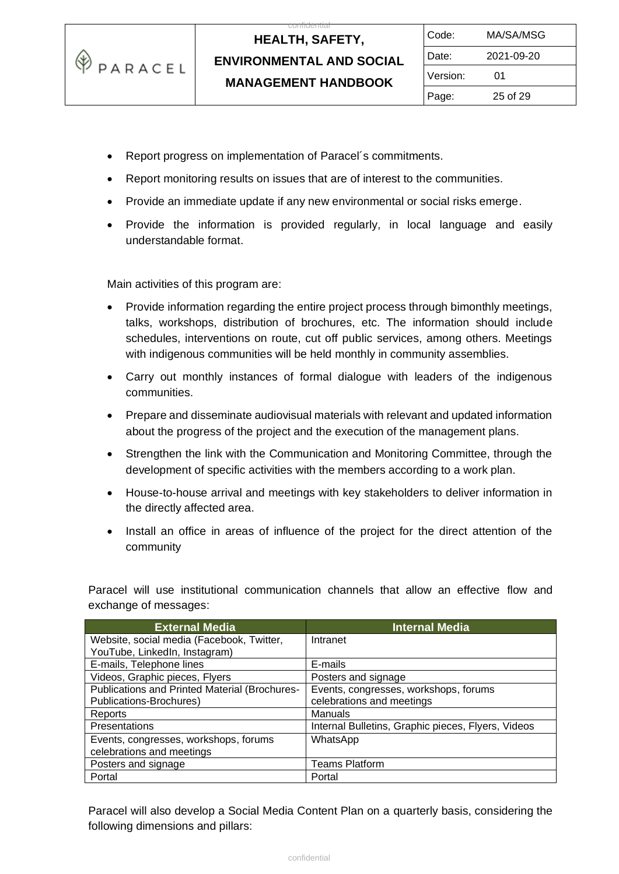

 $\overline{c}$ 

| Code:    | MA/SA/MSG  |  |
|----------|------------|--|
| Date:    | 2021-09-20 |  |
| Version: | 01         |  |
| Page:    | 25 of 29   |  |

- Report progress on implementation of Paracel´s commitments.
- Report monitoring results on issues that are of interest to the communities.
- Provide an immediate update if any new environmental or social risks emerge.
- Provide the information is provided regularly, in local language and easily understandable format.

Main activities of this program are:

- Provide information regarding the entire project process through bimonthly meetings, talks, workshops, distribution of brochures, etc. The information should include schedules, interventions on route, cut off public services, among others. Meetings with indigenous communities will be held monthly in community assemblies.
- Carry out monthly instances of formal dialogue with leaders of the indigenous communities.
- Prepare and disseminate audiovisual materials with relevant and updated information about the progress of the project and the execution of the management plans.
- Strengthen the link with the Communication and Monitoring Committee, through the development of specific activities with the members according to a work plan.
- House-to-house arrival and meetings with key stakeholders to deliver information in the directly affected area.
- Install an office in areas of influence of the project for the direct attention of the community

Paracel will use institutional communication channels that allow an effective flow and exchange of messages:

| <b>External Media</b>                         | <b>Internal Media</b>                              |
|-----------------------------------------------|----------------------------------------------------|
| Website, social media (Facebook, Twitter,     | Intranet                                           |
| YouTube, LinkedIn, Instagram)                 |                                                    |
| E-mails, Telephone lines                      | E-mails                                            |
| Videos, Graphic pieces, Flyers                | Posters and signage                                |
| Publications and Printed Material (Brochures- | Events, congresses, workshops, forums              |
| Publications-Brochures)                       | celebrations and meetings                          |
| Reports                                       | Manuals                                            |
| Presentations                                 | Internal Bulletins, Graphic pieces, Flyers, Videos |
| Events, congresses, workshops, forums         | WhatsApp                                           |
| celebrations and meetings                     |                                                    |
| Posters and signage                           | <b>Teams Platform</b>                              |
| Portal                                        | Portal                                             |

Paracel will also develop a Social Media Content Plan on a quarterly basis, considering the following dimensions and pillars: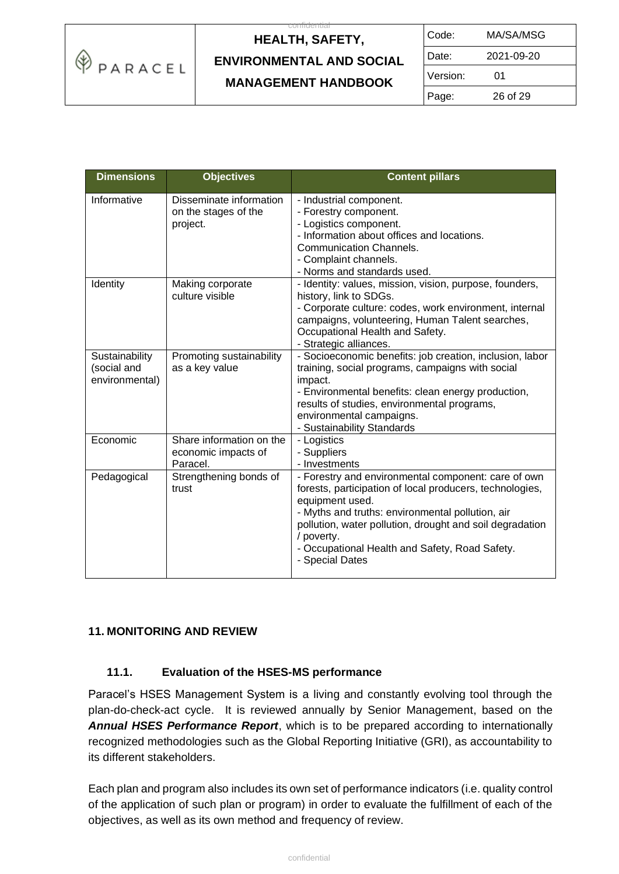

| Code:    | MA/SA/MSG  |
|----------|------------|
| Date:    | 2021-09-20 |
| Version: | 01         |
| Page:    | 26 of 29   |

| <b>Dimensions</b>                               | <b>Objectives</b>                                           | <b>Content pillars</b>                                                                                                                                                                                                                                                                                                                |
|-------------------------------------------------|-------------------------------------------------------------|---------------------------------------------------------------------------------------------------------------------------------------------------------------------------------------------------------------------------------------------------------------------------------------------------------------------------------------|
| Informative                                     | Disseminate information<br>on the stages of the<br>project. | - Industrial component.<br>- Forestry component.<br>- Logistics component.<br>- Information about offices and locations.<br><b>Communication Channels.</b><br>- Complaint channels.<br>- Norms and standards used.                                                                                                                    |
| Identity                                        | Making corporate<br>culture visible                         | - Identity: values, mission, vision, purpose, founders,<br>history, link to SDGs.<br>- Corporate culture: codes, work environment, internal<br>campaigns, volunteering, Human Talent searches,<br>Occupational Health and Safety.<br>- Strategic alliances.                                                                           |
| Sustainability<br>(social and<br>environmental) | Promoting sustainability<br>as a key value                  | - Socioeconomic benefits: job creation, inclusion, labor<br>training, social programs, campaigns with social<br>impact.<br>- Environmental benefits: clean energy production,<br>results of studies, environmental programs,<br>environmental campaigns.<br>- Sustainability Standards                                                |
| Economic                                        | Share information on the<br>economic impacts of<br>Paracel. | - Logistics<br>- Suppliers<br>- Investments                                                                                                                                                                                                                                                                                           |
| Pedagogical                                     | Strengthening bonds of<br>trust                             | - Forestry and environmental component: care of own<br>forests, participation of local producers, technologies,<br>equipment used.<br>- Myths and truths: environmental pollution, air<br>pollution, water pollution, drought and soil degradation<br>/ poverty.<br>- Occupational Health and Safety, Road Safety.<br>- Special Dates |

### **11. MONITORING AND REVIEW**

#### **11.1. Evaluation of the HSES-MS performance**

Paracel's HSES Management System is a living and constantly evolving tool through the plan-do-check-act cycle. It is reviewed annually by Senior Management, based on the *Annual HSES Performance Report*, which is to be prepared according to internationally recognized methodologies such as the Global Reporting Initiative (GRI), as accountability to its different stakeholders.

Each plan and program also includes its own set of performance indicators (i.e. quality control of the application of such plan or program) in order to evaluate the fulfillment of each of the objectives, as well as its own method and frequency of review.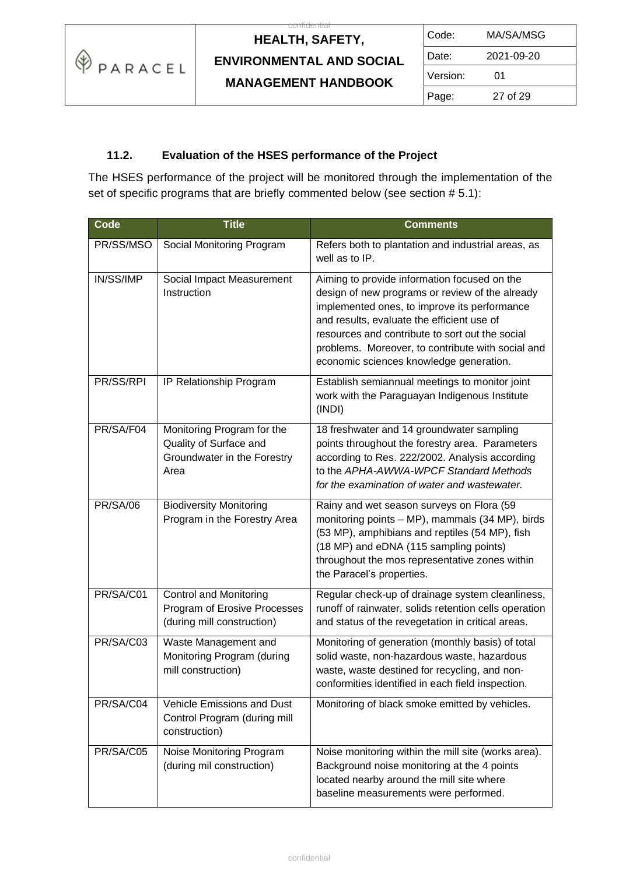

 $\overline{c}$ 

| Code:    | MA/SA/MSG  |  |
|----------|------------|--|
| Date:    | 2021-09-20 |  |
| Version: | 01         |  |
| Page:    | 27 of 29   |  |

### **11.2. Evaluation of the HSES performance of the Project**

The HSES performance of the project will be monitored through the implementation of the set of specific programs that are briefly commented below (see section #5.1):

| Code            | <b>Title</b>                                                                                | <b>Comments</b>                                                                                                                                                                                                                                                                                                                                  |
|-----------------|---------------------------------------------------------------------------------------------|--------------------------------------------------------------------------------------------------------------------------------------------------------------------------------------------------------------------------------------------------------------------------------------------------------------------------------------------------|
| PR/SS/MSO       | Social Monitoring Program                                                                   | Refers both to plantation and industrial areas, as<br>well as to IP.                                                                                                                                                                                                                                                                             |
| IN/SS/IMP       | Social Impact Measurement<br>Instruction                                                    | Aiming to provide information focused on the<br>design of new programs or review of the already<br>implemented ones, to improve its performance<br>and results, evaluate the efficient use of<br>resources and contribute to sort out the social<br>problems. Moreover, to contribute with social and<br>economic sciences knowledge generation. |
| PR/SS/RPI       | IP Relationship Program                                                                     | Establish semiannual meetings to monitor joint<br>work with the Paraguayan Indigenous Institute<br>(INDI)                                                                                                                                                                                                                                        |
| PR/SA/F04       | Monitoring Program for the<br>Quality of Surface and<br>Groundwater in the Forestry<br>Area | 18 freshwater and 14 groundwater sampling<br>points throughout the forestry area. Parameters<br>according to Res. 222/2002. Analysis according<br>to the APHA-AWWA-WPCF Standard Methods<br>for the examination of water and wastewater.                                                                                                         |
| <b>PR/SA/06</b> | <b>Biodiversity Monitoring</b><br>Program in the Forestry Area                              | Rainy and wet season surveys on Flora (59<br>monitoring points - MP), mammals (34 MP), birds<br>(53 MP), amphibians and reptiles (54 MP), fish<br>(18 MP) and eDNA (115 sampling points)<br>throughout the mos representative zones within<br>the Paracel's properties.                                                                          |
| PR/SA/C01       | <b>Control and Monitoring</b><br>Program of Erosive Processes<br>(during mill construction) | Regular check-up of drainage system cleanliness,<br>runoff of rainwater, solids retention cells operation<br>and status of the revegetation in critical areas.                                                                                                                                                                                   |
| PR/SA/C03       | Waste Management and<br>Monitoring Program (during<br>mill construction)                    | Monitoring of generation (monthly basis) of total<br>solid waste, non-hazardous waste, hazardous<br>waste, waste destined for recycling, and non-<br>conformities identified in each field inspection.                                                                                                                                           |
| PR/SA/C04       | <b>Vehicle Emissions and Dust</b><br>Control Program (during mill<br>construction)          | Monitoring of black smoke emitted by vehicles.                                                                                                                                                                                                                                                                                                   |
| PR/SA/C05       | Noise Monitoring Program<br>(during mil construction)                                       | Noise monitoring within the mill site (works area).<br>Background noise monitoring at the 4 points<br>located nearby around the mill site where<br>baseline measurements were performed.                                                                                                                                                         |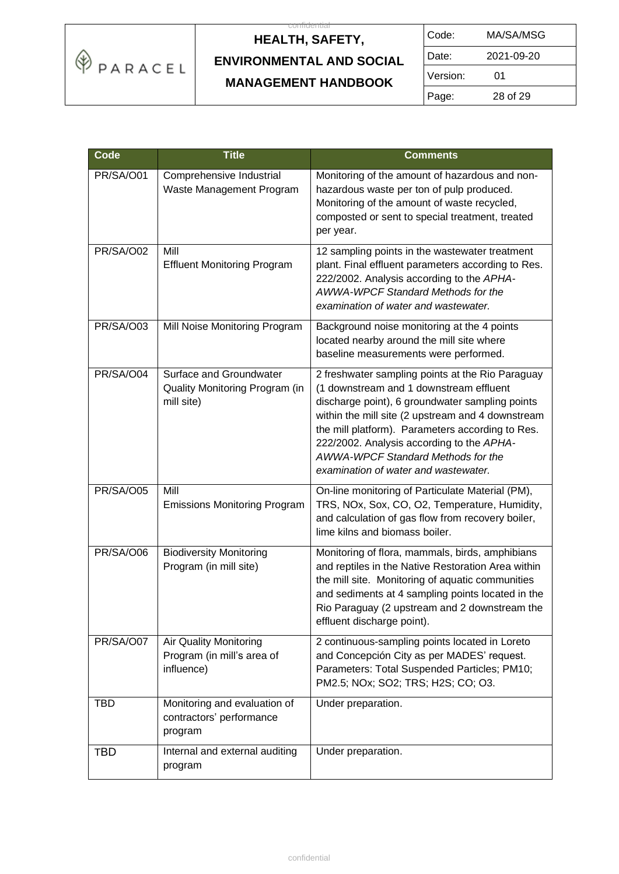

| Code:    | MA/SA/MSG  |  |
|----------|------------|--|
| Date:    | 2021-09-20 |  |
| Version: | 01         |  |
| Page:    | 28 of 29   |  |

| Code             | <b>Title</b>                                                            | <b>Comments</b>                                                                                                                                                                                                                                                                                                                                                                    |
|------------------|-------------------------------------------------------------------------|------------------------------------------------------------------------------------------------------------------------------------------------------------------------------------------------------------------------------------------------------------------------------------------------------------------------------------------------------------------------------------|
| PR/SA/O01        | Comprehensive Industrial<br>Waste Management Program                    | Monitoring of the amount of hazardous and non-<br>hazardous waste per ton of pulp produced.<br>Monitoring of the amount of waste recycled,<br>composted or sent to special treatment, treated<br>per year.                                                                                                                                                                         |
| <b>PR/SA/O02</b> | Mill<br><b>Effluent Monitoring Program</b>                              | 12 sampling points in the wastewater treatment<br>plant. Final effluent parameters according to Res.<br>222/2002. Analysis according to the APHA-<br>AWWA-WPCF Standard Methods for the<br>examination of water and wastewater.                                                                                                                                                    |
| PR/SA/O03        | Mill Noise Monitoring Program                                           | Background noise monitoring at the 4 points<br>located nearby around the mill site where<br>baseline measurements were performed.                                                                                                                                                                                                                                                  |
| PR/SA/O04        | Surface and Groundwater<br>Quality Monitoring Program (in<br>mill site) | 2 freshwater sampling points at the Rio Paraguay<br>(1 downstream and 1 downstream effluent<br>discharge point), 6 groundwater sampling points<br>within the mill site (2 upstream and 4 downstream<br>the mill platform). Parameters according to Res.<br>222/2002. Analysis according to the APHA-<br>AWWA-WPCF Standard Methods for the<br>examination of water and wastewater. |
| PR/SA/O05        | Mill<br><b>Emissions Monitoring Program</b>                             | On-line monitoring of Particulate Material (PM),<br>TRS, NOx, Sox, CO, O2, Temperature, Humidity,<br>and calculation of gas flow from recovery boiler,<br>lime kilns and biomass boiler.                                                                                                                                                                                           |
| PR/SA/O06        | <b>Biodiversity Monitoring</b><br>Program (in mill site)                | Monitoring of flora, mammals, birds, amphibians<br>and reptiles in the Native Restoration Area within<br>the mill site. Monitoring of aquatic communities<br>and sediments at 4 sampling points located in the<br>Rio Paraguay (2 upstream and 2 downstream the<br>effluent discharge point).                                                                                      |
| PR/SA/O07        | Air Quality Monitoring<br>Program (in mill's area of<br>influence)      | 2 continuous-sampling points located in Loreto<br>and Concepción City as per MADES' request.<br>Parameters: Total Suspended Particles; PM10;<br>PM2.5; NOx; SO2; TRS; H2S; CO; O3.                                                                                                                                                                                                 |
| <b>TBD</b>       | Monitoring and evaluation of<br>contractors' performance<br>program     | Under preparation.                                                                                                                                                                                                                                                                                                                                                                 |
| <b>TBD</b>       | Internal and external auditing<br>program                               | Under preparation.                                                                                                                                                                                                                                                                                                                                                                 |